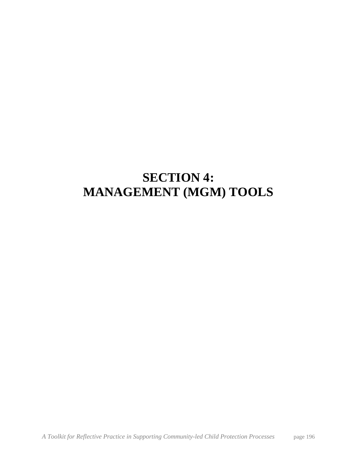# **SECTION 4: MANAGEMENT (MGM) TOOLS**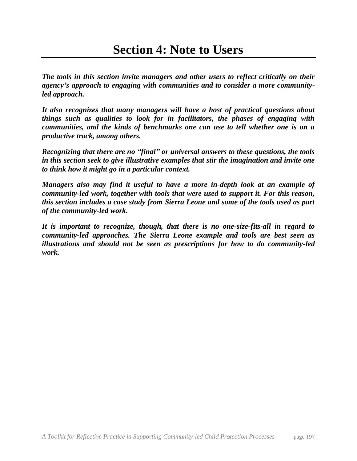*The tools in this section invite managers and other users to reflect critically on their agency's approach to engaging with communities and to consider a more communityled approach.* 

*It also recognizes that many managers will have a host of practical questions about things such as qualities to look for in facilitators, the phases of engaging with communities, and the kinds of benchmarks one can use to tell whether one is on a productive track, among others.* 

*Recognizing that there are no "final" or universal answers to these questions, the tools in this section seek to give illustrative examples that stir the imagination and invite one to think how it might go in a particular context.*

*Managers also may find it useful to have a more in-depth look at an example of community-led work, together with tools that were used to support it. For this reason, this section includes a case study from Sierra Leone and some of the tools used as part of the community-led work.* 

*It is important to recognize, though, that there is no one-size-fits-all in regard to community-led approaches. The Sierra Leone example and tools are best seen as illustrations and should not be seen as prescriptions for how to do community-led work.*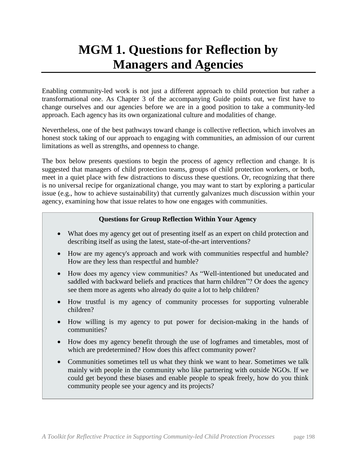# **MGM 1. Questions for Reflection by Managers and Agencies**

Enabling community-led work is not just a different approach to child protection but rather a transformational one. As Chapter 3 of the accompanying Guide points out, we first have to change ourselves and our agencies before we are in a good position to take a community-led approach. Each agency has its own organizational culture and modalities of change.

Nevertheless, one of the best pathways toward change is collective reflection, which involves an honest stock taking of our approach to engaging with communities, an admission of our current limitations as well as strengths, and openness to change.

The box below presents questions to begin the process of agency reflection and change. It is suggested that managers of child protection teams, groups of child protection workers, or both, meet in a quiet place with few distractions to discuss these questions. Or, recognizing that there is no universal recipe for organizational change, you may want to start by exploring a particular issue (e.g., how to achieve sustainability) that currently galvanizes much discussion within your agency, examining how that issue relates to how one engages with communities.

### **Questions for Group Reflection Within Your Agency**

- What does my agency get out of presenting itself as an expert on child protection and describing itself as using the latest, state-of-the-art interventions?
- How are my agency's approach and work with communities respectful and humble? How are they less than respectful and humble?
- How does my agency view communities? As "Well-intentioned but uneducated and saddled with backward beliefs and practices that harm children"? Or does the agency see them more as agents who already do quite a lot to help children?
- How trustful is my agency of community processes for supporting vulnerable children?
- How willing is my agency to put power for decision-making in the hands of communities?
- How does my agency benefit through the use of logframes and timetables, most of which are predetermined? How does this affect community power?
- Communities sometimes tell us what they think we want to hear. Sometimes we talk mainly with people in the community who like partnering with outside NGOs. If we could get beyond these biases and enable people to speak freely, how do you think community people see your agency and its projects?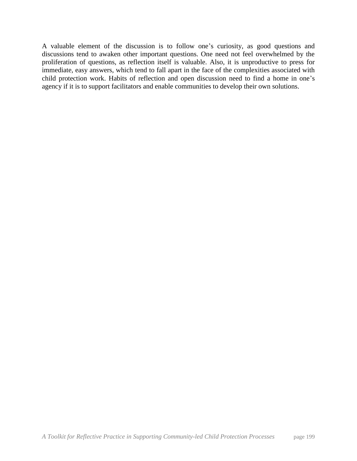A valuable element of the discussion is to follow one's curiosity, as good questions and discussions tend to awaken other important questions. One need not feel overwhelmed by the proliferation of questions, as reflection itself is valuable. Also, it is unproductive to press for immediate, easy answers, which tend to fall apart in the face of the complexities associated with child protection work. Habits of reflection and open discussion need to find a home in one's agency if it is to support facilitators and enable communities to develop their own solutions.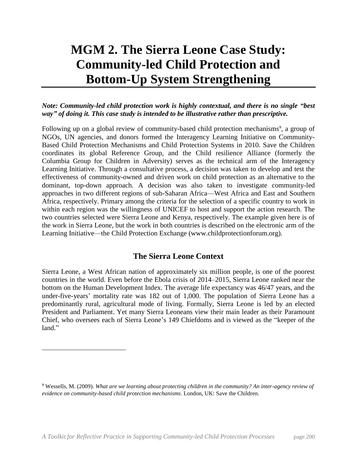# **MGM 2. The Sierra Leone Case Study: Community-led Child Protection and Bottom-Up System Strengthening**

### *Note: Community-led child protection work is highly contextual, and there is no single "best way" of doing it. This case study is intended to be illustrative rather than prescriptive.*

Following up on a global review of community-based child protection mechanisms<sup>9</sup>, a group of NGOs, UN agencies, and donors formed the Interagency Learning Initiative on Community-Based Child Protection Mechanisms and Child Protection Systems in 2010. Save the Children coordinates its global Reference Group, and the Child resilience Alliance (formerly the Columbia Group for Children in Adversity) serves as the technical arm of the Interagency Learning Initiative. Through a consultative process, a decision was taken to develop and test the effectiveness of community-owned and driven work on child protection as an alternative to the dominant, top-down approach. A decision was also taken to investigate community-led approaches in two different regions of sub-Saharan Africa—West Africa and East and Southern Africa, respectively. Primary among the criteria for the selection of a specific country to work in within each region was the willingness of UNICEF to host and support the action research. The two countries selected were Sierra Leone and Kenya, respectively. The example given here is of the work in Sierra Leone, but the work in both countries is described on the electronic arm of the Learning Initiative—the Child Protection Exchange (www.childprotectionforum.org).

## **The Sierra Leone Context**

Sierra Leone, a West African nation of approximately six million people, is one of the poorest countries in the world. Even before the Ebola crisis of 2014–2015, Sierra Leone ranked near the bottom on the Human Development Index. The average life expectancy was 46/47 years, and the under-five-years' mortality rate was 182 out of 1,000. The population of Sierra Leone has a predominantly rural, agricultural mode of living. Formally, Sierra Leone is led by an elected President and Parliament. Yet many Sierra Leoneans view their main leader as their Paramount Chief, who oversees each of Sierra Leone's 149 Chiefdoms and is viewed as the "keeper of the land."

 $\overline{a}$ 

<sup>9</sup> Wessells, M. (2009). *What are we learning about protecting children in the community? An inter-agency review of evidence on community-based child protection mechanisms*. London, UK: Save the Children.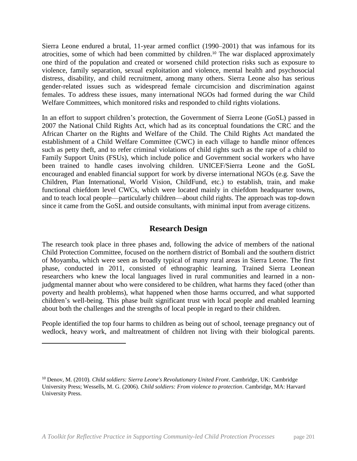Sierra Leone endured a brutal, 11-year armed conflict (1990–2001) that was infamous for its atrocities, some of which had been committed by children.<sup>10</sup> The war displaced approximately one third of the population and created or worsened child protection risks such as exposure to violence, family separation, sexual exploitation and violence, mental health and psychosocial distress, disability, and child recruitment, among many others. Sierra Leone also has serious gender-related issues such as widespread female circumcision and discrimination against females. To address these issues, many international NGOs had formed during the war Child Welfare Committees, which monitored risks and responded to child rights violations.

In an effort to support children's protection, the Government of Sierra Leone (GoSL) passed in 2007 the National Child Rights Act, which had as its conceptual foundations the CRC and the African Charter on the Rights and Welfare of the Child. The Child Rights Act mandated the establishment of a Child Welfare Committee (CWC) in each village to handle minor offences such as petty theft, and to refer criminal violations of child rights such as the rape of a child to Family Support Units (FSUs), which include police and Government social workers who have been trained to handle cases involving children. UNICEF/Sierra Leone and the GoSL encouraged and enabled financial support for work by diverse international NGOs (e.g. Save the Children, Plan International, World Vision, ChildFund, etc.) to establish, train, and make functional chiefdom level CWCs, which were located mainly in chiefdom headquarter towns, and to teach local people—particularly children—about child rights. The approach was top-down since it came from the GoSL and outside consultants, with minimal input from average citizens.

### **Research Design**

The research took place in three phases and, following the advice of members of the national Child Protection Committee, focused on the northern district of Bombali and the southern district of Moyamba, which were seen as broadly typical of many rural areas in Sierra Leone. The first phase, conducted in 2011, consisted of ethnographic learning. Trained Sierra Leonean researchers who knew the local languages lived in rural communities and learned in a nonjudgmental manner about who were considered to be children, what harms they faced (other than poverty and health problems), what happened when those harms occurred, and what supported children's well-being. This phase built significant trust with local people and enabled learning about both the challenges and the strengths of local people in regard to their children.

People identified the top four harms to children as being out of school, teenage pregnancy out of wedlock, heavy work, and maltreatment of children not living with their biological parents.

l

<sup>10</sup> Denov, M. (2010). *Child soldiers: Sierra Leone's Revolutionary United Front*. Cambridge, UK: Cambridge University Press; Wessells, M. G. (2006). *Child soldiers: From violence to protection*. Cambridge, MA: Harvard University Press.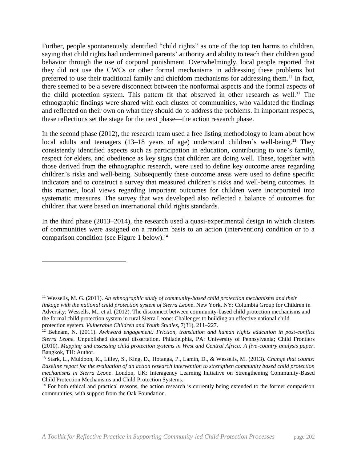Further, people spontaneously identified "child rights" as one of the top ten harms to children, saying that child rights had undermined parents' authority and ability to teach their children good behavior through the use of corporal punishment. Overwhelmingly, local people reported that they did not use the CWCs or other formal mechanisms in addressing these problems but preferred to use their traditional family and chiefdom mechanisms for addressing them.<sup>11</sup> In fact, there seemed to be a severe disconnect between the nonformal aspects and the formal aspects of the child protection system. This pattern fit that observed in other research as well.<sup>12</sup> The ethnographic findings were shared with each cluster of communities, who validated the findings and reflected on their own on what they should do to address the problems. In important respects, these reflections set the stage for the next phase—the action research phase.

In the second phase (2012), the research team used a free listing methodology to learn about how local adults and teenagers (13–18 years of age) understand children's well-being.<sup>13</sup> They consistently identified aspects such as participation in education, contributing to one's family, respect for elders, and obedience as key signs that children are doing well. These, together with those derived from the ethnographic research, were used to define key outcome areas regarding children's risks and well-being. Subsequently these outcome areas were used to define specific indicators and to construct a survey that measured children's risks and well-being outcomes. In this manner, local views regarding important outcomes for children were incorporated into systematic measures. The survey that was developed also reflected a balance of outcomes for children that were based on international child rights standards.

In the third phase (2013–2014), the research used a quasi-experimental design in which clusters of communities were assigned on a random basis to an action (intervention) condition or to a comparison condition (see Figure 1 below).<sup>14</sup>

 $\overline{\phantom{a}}$ 

<sup>11</sup> Wessells, M. G. (2011). *An ethnographic study of community-based child protection mechanisms and their linkage with the national child protection system of Sierra Leone*. New York, NY: Columbia Group for Children in Adversity; Wessells, M., et al. (2012). The disconnect between community-based child protection mechanisms and the formal child protection system in rural Sierra Leone: Challenges to building an effective national child protection system. *Vulnerable Children and Youth Studies*, 7(31), 211–227.

<sup>12</sup> Behnam, N. (2011). *Awkward engagement: Friction, translation and human rights education in post-conflict Sierra Leone.* Unpublished doctoral dissertation. Philadelphia, PA: University of Pennsylvania; Child Frontiers (2010). *Mapping and assessing child protection systems in West and Central Africa: A five-country analysis paper*. Bangkok, TH: Author.

<sup>13</sup> Stark, L., Muldoon, K., Lilley, S., King, D., Hotanga, P., Lamin, D., & Wessells, M. (2013). *Change that counts: Baseline report for the evaluation of an action research intervention to strengthen community based child protection mechanisms in Sierra Leone*. London, UK: Interagency Learning Initiative on Strengthening Community-Based Child Protection Mechanisms and Child Protection Systems.

<sup>&</sup>lt;sup>14</sup> For both ethical and practical reasons, the action research is currently being extended to the former comparison communities, with support from the Oak Foundation.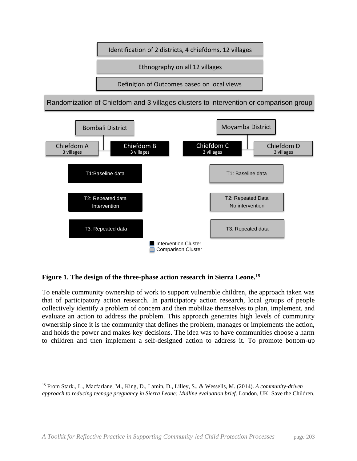

### **Figure 1. The design of the three-phase action research in Sierra Leone.<sup>15</sup>**

 $\overline{a}$ 

To enable community ownership of work to support vulnerable children, the approach taken was that of participatory action research. In participatory action research, local groups of people collectively identify a problem of concern and then mobilize themselves to plan, implement, and evaluate an action to address the problem. This approach generates high levels of community ownership since it is the community that defines the problem, manages or implements the action, and holds the power and makes key decisions. The idea was to have communities choose a harm to children and then implement a self-designed action to address it. To promote bottom-up

<sup>15</sup> From Stark., L., Macfarlane, M., King, D., Lamin, D., Lilley, S., & Wessells, M. (2014). *A community-driven approach to reducing teenage pregnancy in Sierra Leone: Midline evaluation brief*. London, UK: Save the Children.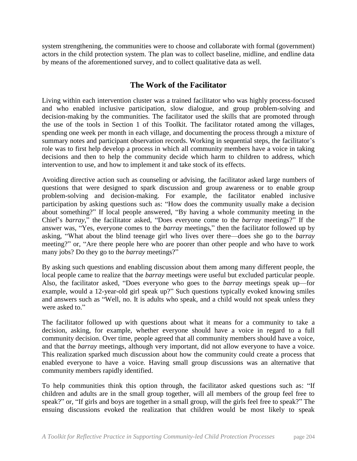system strengthening, the communities were to choose and collaborate with formal (government) actors in the child protection system. The plan was to collect baseline, midline, and endline data by means of the aforementioned survey, and to collect qualitative data as well.

## **The Work of the Facilitator**

Living within each intervention cluster was a trained facilitator who was highly process-focused and who enabled inclusive participation, slow dialogue, and group problem-solving and decision-making by the communities. The facilitator used the skills that are promoted through the use of the tools in Section 1 of this Toolkit. The facilitator rotated among the villages, spending one week per month in each village, and documenting the process through a mixture of summary notes and participant observation records. Working in sequential steps, the facilitator's role was to first help develop a process in which all community members have a voice in taking decisions and then to help the community decide which harm to children to address, which intervention to use, and how to implement it and take stock of its effects.

Avoiding directive action such as counseling or advising, the facilitator asked large numbers of questions that were designed to spark discussion and group awareness or to enable group problem-solving and decision-making. For example, the facilitator enabled inclusive participation by asking questions such as: "How does the community usually make a decision about something?" If local people answered, "By having a whole community meeting in the Chief's *barray*," the facilitator asked, "Does everyone come to the *barray* meetings?" If the answer was, "Yes, everyone comes to the *barray* meetings," then the facilitator followed up by asking, "What about the blind teenage girl who lives over there—does she go to the *barray* meeting?" or, "Are there people here who are poorer than other people and who have to work many jobs? Do they go to the *barray* meetings?"

By asking such questions and enabling discussion about them among many different people, the local people came to realize that the *barray* meetings were useful but excluded particular people. Also, the facilitator asked, "Does everyone who goes to the *barray* meetings speak up—for example, would a 12-year-old girl speak up?" Such questions typically evoked knowing smiles and answers such as "Well, no. It is adults who speak, and a child would not speak unless they were asked to."

The facilitator followed up with questions about what it means for a community to take a decision, asking, for example, whether everyone should have a voice in regard to a full community decision. Over time, people agreed that all community members should have a voice, and that the *barray* meetings, although very important, did not allow everyone to have a voice. This realization sparked much discussion about how the community could create a process that enabled everyone to have a voice. Having small group discussions was an alternative that community members rapidly identified.

To help communities think this option through, the facilitator asked questions such as: "If children and adults are in the small group together, will all members of the group feel free to speak?" or, "If girls and boys are together in a small group, will the girls feel free to speak?" The ensuing discussions evoked the realization that children would be most likely to speak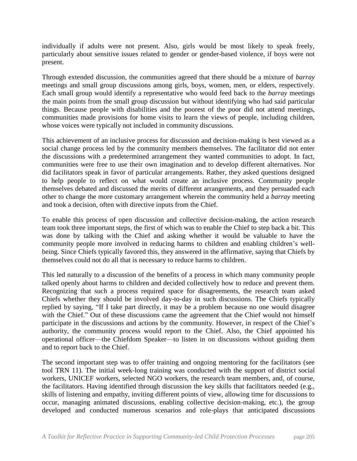individually if adults were not present. Also, girls would be most likely to speak freely, particularly about sensitive issues related to gender or gender-based violence, if boys were not present.

Through extended discussion, the communities agreed that there should be a mixture of *barray* meetings and small group discussions among girls, boys, women, men, or elders, respectively. Each small group would identify a representative who would feed back to the *barray* meetings the main points from the small group discussion but without identifying who had said particular things. Because people with disabilities and the poorest of the poor did not attend meetings, communities made provisions for home visits to learn the views of people, including children, whose voices were typically not included in community discussions.

This achievement of an inclusive process for discussion and decision-making is best viewed as a social change process led by the community members themselves. The facilitator did not enter the discussions with a predetermined arrangement they wanted communities to adopt. In fact, communities were free to use their own imagination and to develop different alternatives. Nor did facilitators speak in favor of particular arrangements. Rather, they asked questions designed to help people to reflect on what would create an inclusive process. Community people themselves debated and discussed the merits of different arrangements, and they persuaded each other to change the more customary arrangement wherein the community held a *barray* meeting and took a decision, often with directive inputs from the Chief.

To enable this process of open discussion and collective decision-making, the action research team took three important steps, the first of which was to enable the Chief to step back a bit. This was done by talking with the Chief and asking whether it would be valuable to have the community people more involved in reducing harms to children and enabling children's wellbeing. Since Chiefs typically favored this, they answered in the affirmative, saying that Chiefs by themselves could not do all that is necessary to reduce harms to children.

This led naturally to a discussion of the benefits of a process in which many community people talked openly about harms to children and decided collectively how to reduce and prevent them. Recognizing that such a process required space for disagreements, the research team asked Chiefs whether they should be involved day-to-day in such discussions. The Chiefs typically replied by saying, "If I take part directly, it may be a problem because no one would disagree with the Chief." Out of these discussions came the agreement that the Chief would not himself participate in the discussions and actions by the community. However, in respect of the Chief's authority, the community process would report to the Chief. Also, the Chief appointed his operational officer—the Chiefdom Speaker—to listen in on discussions without guiding them and to report back to the Chief.

The second important step was to offer training and ongoing mentoring for the facilitators (see tool TRN 11). The initial week-long training was conducted with the support of district social workers, UNICEF workers, selected NGO workers, the research team members, and, of course, the facilitators. Having identified through discussion the key skills that facilitators needed (e.g., skills of listening and empathy, inviting different points of view, allowing time for discussions to occur, managing animated discussions, enabling collective decision-making, etc.), the group developed and conducted numerous scenarios and role-plays that anticipated discussions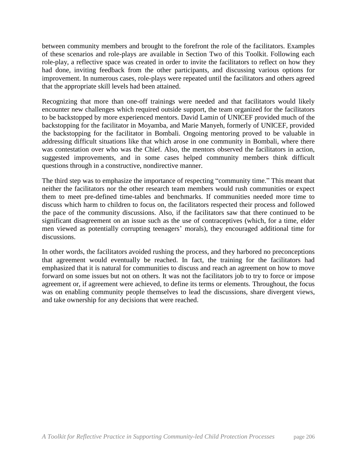between community members and brought to the forefront the role of the facilitators. Examples of these scenarios and role-plays are available in Section Two of this Toolkit. Following each role-play, a reflective space was created in order to invite the facilitators to reflect on how they had done, inviting feedback from the other participants, and discussing various options for improvement. In numerous cases, role-plays were repeated until the facilitators and others agreed that the appropriate skill levels had been attained.

Recognizing that more than one-off trainings were needed and that facilitators would likely encounter new challenges which required outside support, the team organized for the facilitators to be backstopped by more experienced mentors. David Lamin of UNICEF provided much of the backstopping for the facilitator in Moyamba, and Marie Manyeh, formerly of UNICEF, provided the backstopping for the facilitator in Bombali. Ongoing mentoring proved to be valuable in addressing difficult situations like that which arose in one community in Bombali, where there was contestation over who was the Chief. Also, the mentors observed the facilitators in action, suggested improvements, and in some cases helped community members think difficult questions through in a constructive, nondirective manner.

The third step was to emphasize the importance of respecting "community time." This meant that neither the facilitators nor the other research team members would rush communities or expect them to meet pre-defined time-tables and benchmarks. If communities needed more time to discuss which harm to children to focus on, the facilitators respected their process and followed the pace of the community discussions. Also, if the facilitators saw that there continued to be significant disagreement on an issue such as the use of contraceptives (which, for a time, elder men viewed as potentially corrupting teenagers' morals), they encouraged additional time for discussions.

In other words, the facilitators avoided rushing the process, and they harbored no preconceptions that agreement would eventually be reached. In fact, the training for the facilitators had emphasized that it is natural for communities to discuss and reach an agreement on how to move forward on some issues but not on others. It was not the facilitators job to try to force or impose agreement or, if agreement were achieved, to define its terms or elements. Throughout, the focus was on enabling community people themselves to lead the discussions, share divergent views, and take ownership for any decisions that were reached.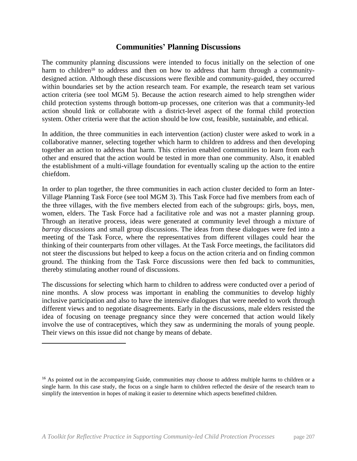### **Communities' Planning Discussions**

The community planning discussions were intended to focus initially on the selection of one harm to children<sup>16</sup> to address and then on how to address that harm through a communitydesigned action. Although these discussions were flexible and community-guided, they occurred within boundaries set by the action research team. For example, the research team set various action criteria (see tool MGM 5). Because the action research aimed to help strengthen wider child protection systems through bottom-up processes, one criterion was that a community-led action should link or collaborate with a district-level aspect of the formal child protection system. Other criteria were that the action should be low cost, feasible, sustainable, and ethical.

In addition, the three communities in each intervention (action) cluster were asked to work in a collaborative manner, selecting together which harm to children to address and then developing together an action to address that harm. This criterion enabled communities to learn from each other and ensured that the action would be tested in more than one community. Also, it enabled the establishment of a multi-village foundation for eventually scaling up the action to the entire chiefdom.

In order to plan together, the three communities in each action cluster decided to form an Inter-Village Planning Task Force (see tool MGM 3). This Task Force had five members from each of the three villages, with the five members elected from each of the subgroups: girls, boys, men, women, elders. The Task Force had a facilitative role and was not a master planning group. Through an iterative process, ideas were generated at community level through a mixture of *barray* discussions and small group discussions. The ideas from these dialogues were fed into a meeting of the Task Force, where the representatives from different villages could hear the thinking of their counterparts from other villages. At the Task Force meetings, the facilitators did not steer the discussions but helped to keep a focus on the action criteria and on finding common ground. The thinking from the Task Force discussions were then fed back to communities, thereby stimulating another round of discussions.

The discussions for selecting which harm to children to address were conducted over a period of nine months. A slow process was important in enabling the communities to develop highly inclusive participation and also to have the intensive dialogues that were needed to work through different views and to negotiate disagreements. Early in the discussions, male elders resisted the idea of focusing on teenage pregnancy since they were concerned that action would likely involve the use of contraceptives, which they saw as undermining the morals of young people. Their views on this issue did not change by means of debate.

l

<sup>&</sup>lt;sup>16</sup> As pointed out in the accompanying Guide, communities may choose to address multiple harms to children or a single harm. In this case study, the focus on a single harm to children reflected the desire of the research team to simplify the intervention in hopes of making it easier to determine which aspects benefitted children.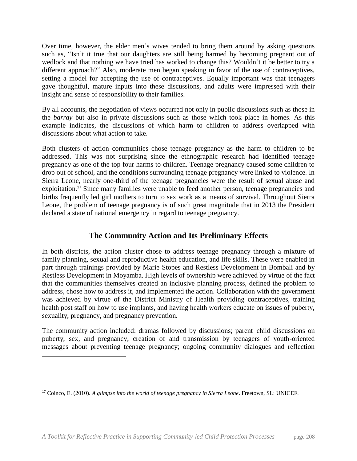Over time, however, the elder men's wives tended to bring them around by asking questions such as, "Isn't it true that our daughters are still being harmed by becoming pregnant out of wedlock and that nothing we have tried has worked to change this? Wouldn't it be better to try a different approach?" Also, moderate men began speaking in favor of the use of contraceptives, setting a model for accepting the use of contraceptives. Equally important was that teenagers gave thoughtful, mature inputs into these discussions, and adults were impressed with their insight and sense of responsibility to their families.

By all accounts, the negotiation of views occurred not only in public discussions such as those in the *barray* but also in private discussions such as those which took place in homes. As this example indicates, the discussions of which harm to children to address overlapped with discussions about what action to take.

Both clusters of action communities chose teenage pregnancy as the harm to children to be addressed. This was not surprising since the ethnographic research had identified teenage pregnancy as one of the top four harms to children. Teenage pregnancy caused some children to drop out of school, and the conditions surrounding teenage pregnancy were linked to violence. In Sierra Leone, nearly one-third of the teenage pregnancies were the result of sexual abuse and exploitation.<sup>17</sup> Since many families were unable to feed another person, teenage pregnancies and births frequently led girl mothers to turn to sex work as a means of survival. Throughout Sierra Leone, the problem of teenage pregnancy is of such great magnitude that in 2013 the President declared a state of national emergency in regard to teenage pregnancy.

## **The Community Action and Its Preliminary Effects**

In both districts, the action cluster chose to address teenage pregnancy through a mixture of family planning, sexual and reproductive health education, and life skills. These were enabled in part through trainings provided by Marie Stopes and Restless Development in Bombali and by Restless Development in Moyamba. High levels of ownership were achieved by virtue of the fact that the communities themselves created an inclusive planning process, defined the problem to address, chose how to address it, and implemented the action. Collaboration with the government was achieved by virtue of the District Ministry of Health providing contraceptives, training health post staff on how to use implants, and having health workers educate on issues of puberty, sexuality, pregnancy, and pregnancy prevention.

The community action included: dramas followed by discussions; parent–child discussions on puberty, sex, and pregnancy; creation of and transmission by teenagers of youth-oriented messages about preventing teenage pregnancy; ongoing community dialogues and reflection

 $\overline{\phantom{a}}$ 

<sup>17</sup> Coinco, E. (2010). *A glimpse into the world of teenage pregnancy in Sierra Leone*. Freetown, SL: UNICEF.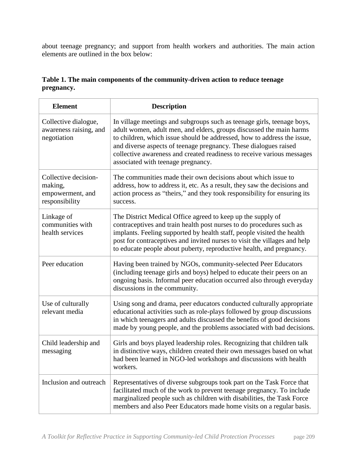about teenage pregnancy; and support from health workers and authorities. The main action elements are outlined in the box below:

| Table 1. The main components of the community-driven action to reduce teenage |  |
|-------------------------------------------------------------------------------|--|
| pregnancy.                                                                    |  |

| <b>Element</b>                                                        | <b>Description</b>                                                                                                                                                                                                                                                                                                                                                                                           |
|-----------------------------------------------------------------------|--------------------------------------------------------------------------------------------------------------------------------------------------------------------------------------------------------------------------------------------------------------------------------------------------------------------------------------------------------------------------------------------------------------|
| Collective dialogue,<br>awareness raising, and<br>negotiation         | In village meetings and subgroups such as teenage girls, teenage boys,<br>adult women, adult men, and elders, groups discussed the main harms<br>to children, which issue should be addressed, how to address the issue,<br>and diverse aspects of teenage pregnancy. These dialogues raised<br>collective awareness and created readiness to receive various messages<br>associated with teenage pregnancy. |
| Collective decision-<br>making,<br>empowerment, and<br>responsibility | The communities made their own decisions about which issue to<br>address, how to address it, etc. As a result, they saw the decisions and<br>action process as "theirs," and they took responsibility for ensuring its<br>success.                                                                                                                                                                           |
| Linkage of<br>communities with<br>health services                     | The District Medical Office agreed to keep up the supply of<br>contraceptives and train health post nurses to do procedures such as<br>implants. Feeling supported by health staff, people visited the health<br>post for contraceptives and invited nurses to visit the villages and help<br>to educate people about puberty, reproductive health, and pregnancy.                                           |
| Peer education                                                        | Having been trained by NGOs, community-selected Peer Educators<br>(including teenage girls and boys) helped to educate their peers on an<br>ongoing basis. Informal peer education occurred also through everyday<br>discussions in the community.                                                                                                                                                           |
| Use of culturally<br>relevant media                                   | Using song and drama, peer educators conducted culturally appropriate<br>educational activities such as role-plays followed by group discussions<br>in which teenagers and adults discussed the benefits of good decisions<br>made by young people, and the problems associated with bad decisions.                                                                                                          |
| Child leadership and<br>messaging                                     | Girls and boys played leadership roles. Recognizing that children talk<br>in distinctive ways, children created their own messages based on what<br>had been learned in NGO-led workshops and discussions with health<br>workers.                                                                                                                                                                            |
| Inclusion and outreach                                                | Representatives of diverse subgroups took part on the Task Force that<br>facilitated much of the work to prevent teenage pregnancy. To include<br>marginalized people such as children with disabilities, the Task Force<br>members and also Peer Educators made home visits on a regular basis.                                                                                                             |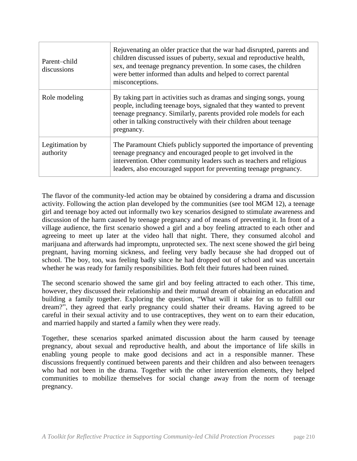| Parent-child<br>discussions  | Rejuvenating an older practice that the war had disrupted, parents and<br>children discussed issues of puberty, sexual and reproductive health,<br>sex, and teenage pregnancy prevention. In some cases, the children<br>were better informed than adults and helped to correct parental<br>misconceptions. |
|------------------------------|-------------------------------------------------------------------------------------------------------------------------------------------------------------------------------------------------------------------------------------------------------------------------------------------------------------|
| Role modeling                | By taking part in activities such as dramas and singing songs, young<br>people, including teenage boys, signaled that they wanted to prevent<br>teenage pregnancy. Similarly, parents provided role models for each<br>other in talking constructively with their children about teenage<br>pregnancy.      |
| Legitimation by<br>authority | The Paramount Chiefs publicly supported the importance of preventing<br>teenage pregnancy and encouraged people to get involved in the<br>intervention. Other community leaders such as teachers and religious<br>leaders, also encouraged support for preventing teenage pregnancy.                        |

The flavor of the community-led action may be obtained by considering a drama and discussion activity. Following the action plan developed by the communities (see tool MGM 12), a teenage girl and teenage boy acted out informally two key scenarios designed to stimulate awareness and discussion of the harm caused by teenage pregnancy and of means of preventing it. In front of a village audience, the first scenario showed a girl and a boy feeling attracted to each other and agreeing to meet up later at the video hall that night. There, they consumed alcohol and marijuana and afterwards had impromptu, unprotected sex. The next scene showed the girl being pregnant, having morning sickness, and feeling very badly because she had dropped out of school. The boy, too, was feeling badly since he had dropped out of school and was uncertain whether he was ready for family responsibilities. Both felt their futures had been ruined.

The second scenario showed the same girl and boy feeling attracted to each other. This time, however, they discussed their relationship and their mutual dream of obtaining an education and building a family together. Exploring the question, "What will it take for us to fulfill our dream?", they agreed that early pregnancy could shatter their dreams. Having agreed to be careful in their sexual activity and to use contraceptives, they went on to earn their education, and married happily and started a family when they were ready.

Together, these scenarios sparked animated discussion about the harm caused by teenage pregnancy, about sexual and reproductive health, and about the importance of life skills in enabling young people to make good decisions and act in a responsible manner. These discussions frequently continued between parents and their children and also between teenagers who had not been in the drama. Together with the other intervention elements, they helped communities to mobilize themselves for social change away from the norm of teenage pregnancy.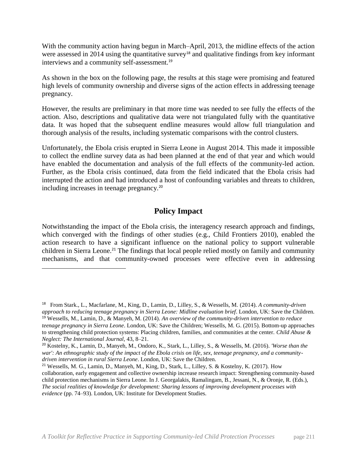With the community action having begun in March–April, 2013, the midline effects of the action were assessed in 2014 using the quantitative survey<sup>18</sup> and qualitative findings from key informant interviews and a community self-assessment.<sup>19</sup>

As shown in the box on the following page, the results at this stage were promising and featured high levels of community ownership and diverse signs of the action effects in addressing teenage pregnancy.

However, the results are preliminary in that more time was needed to see fully the effects of the action. Also, descriptions and qualitative data were not triangulated fully with the quantitative data. It was hoped that the subsequent endline measures would allow full triangulation and thorough analysis of the results, including systematic comparisons with the control clusters.

Unfortunately, the Ebola crisis erupted in Sierra Leone in August 2014. This made it impossible to collect the endline survey data as had been planned at the end of that year and which would have enabled the documentation and analysis of the full effects of the community-led action. Further, as the Ebola crisis continued, data from the field indicated that the Ebola crisis had interrupted the action and had introduced a host of confounding variables and threats to children, including increases in teenage pregnancy.<sup>20</sup>

## **Policy Impact**

Notwithstanding the impact of the Ebola crisis, the interagency research approach and findings, which converged with the findings of other studies (e.g., Child Frontiers 2010), enabled the action research to have a significant influence on the national policy to support vulnerable children in Sierra Leone.<sup>21</sup> The findings that local people relied mostly on family and community mechanisms, and that community-owned processes were effective even in addressing

l

<sup>18</sup> From Stark., L., Macfarlane, M., King, D., Lamin, D., Lilley, S., & Wessells, M. (2014). *A community-driven approach to reducing teenage pregnancy in Sierra Leone: Midline evaluation brief*. London, UK: Save the Children. <sup>19</sup> Wessells, M., Lamin, D., & Manyeh, M. (2014). *An overview of the community-driven intervention to reduce teenage pregnancy in Sierra Leone*. London, UK: Save the Children; Wessells, M. G. (2015). Bottom-up approaches to strengthening child protection systems: Placing children, families, and communities at the center. *Child Abuse & Neglect: The International Journal,* 43, 8–21.

<sup>20</sup> Kostelny, K., Lamin, D., Manyeh, M., Ondoro, K., Stark, L., Lilley, S., & Wessells, M. (2016). *'Worse than the war': An ethnographic study of the impact of the Ebola crisis on life, sex, teenage pregnancy, and a communitydriven intervention in rural Sierra Leone*. London, UK: Save the Children.

<sup>21</sup> Wessells, M. G., Lamin, D., Manyeh, M., King, D., Stark, L., Lilley, S. & Kostelny, K. (2017). How collaboration, early engagement and collective ownership increase research impact: Strengthening community-based child protection mechanisms in Sierra Leone. In J. Georgalakis, Ramalingam, B., Jessani, N., & Oronje, R. (Eds.), *The social realities of knowledge for development: Sharing lessons of improving development processes with evidence* (pp. 74–93). London, UK: Institute for Development Studies.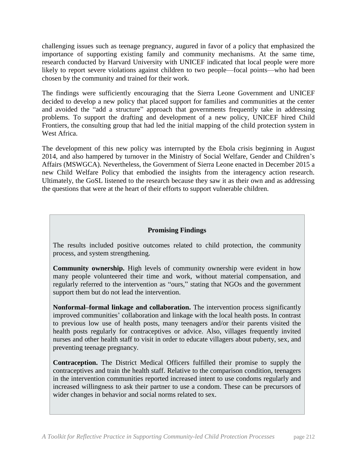challenging issues such as teenage pregnancy, augured in favor of a policy that emphasized the importance of supporting existing family and community mechanisms. At the same time, research conducted by Harvard University with UNICEF indicated that local people were more likely to report severe violations against children to two people—focal points—who had been chosen by the community and trained for their work.

The findings were sufficiently encouraging that the Sierra Leone Government and UNICEF decided to develop a new policy that placed support for families and communities at the center and avoided the "add a structure" approach that governments frequently take in addressing problems. To support the drafting and development of a new policy, UNICEF hired Child Frontiers, the consulting group that had led the initial mapping of the child protection system in West Africa.

The development of this new policy was interrupted by the Ebola crisis beginning in August 2014, and also hampered by turnover in the Ministry of Social Welfare, Gender and Children's Affairs (MSWGCA). Nevertheless, the Government of Sierra Leone enacted in December 2015 a new Child Welfare Policy that embodied the insights from the interagency action research. Ultimately, the GoSL listened to the research because they saw it as their own and as addressing the questions that were at the heart of their efforts to support vulnerable children.

### **Promising Findings**

The results included positive outcomes related to child protection, the community process, and system strengthening.

**Community ownership.** High levels of community ownership were evident in how many people volunteered their time and work, without material compensation, and regularly referred to the intervention as "ours," stating that NGOs and the government support them but do not lead the intervention.

**Nonformal–formal linkage and collaboration.** The intervention process significantly improved communities' collaboration and linkage with the local health posts. In contrast to previous low use of health posts, many teenagers and/or their parents visited the health posts regularly for contraceptives or advice. Also, villages frequently invited nurses and other health staff to visit in order to educate villagers about puberty, sex, and preventing teenage pregnancy.

**Contraception.** The District Medical Officers fulfilled their promise to supply the contraceptives and train the health staff. Relative to the comparison condition, teenagers in the intervention communities reported increased intent to use condoms regularly and increased willingness to ask their partner to use a condom. These can be precursors of wider changes in behavior and social norms related to sex.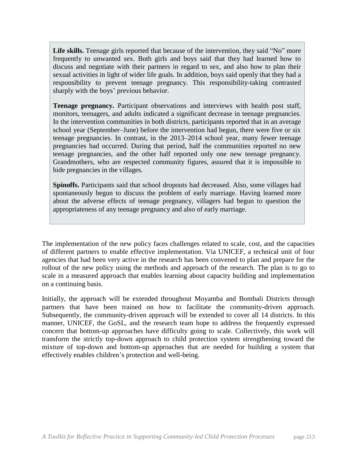Life skills. Teenage girls reported that because of the intervention, they said "No" more frequently to unwanted sex. Both girls and boys said that they had learned how to discuss and negotiate with their partners in regard to sex, and also how to plan their sexual activities in light of wider life goals. In addition, boys said openly that they had a responsibility to prevent teenage pregnancy. This responsibility-taking contrasted sharply with the boys' previous behavior.

**Teenage pregnancy.** Participant observations and interviews with health post staff, monitors, teenagers, and adults indicated a significant decrease in teenage pregnancies. In the intervention communities in both districts, participants reported that in an average school year (September–June) before the intervention had begun, there were five or six teenage pregnancies. In contrast, in the 2013–2014 school year, many fewer teenage pregnancies had occurred. During that period, half the communities reported no new teenage pregnancies, and the other half reported only one new teenage pregnancy. Grandmothers, who are respected community figures, assured that it is impossible to hide pregnancies in the villages.

**Spinoffs.** Participants said that school dropouts had decreased. Also, some villages had spontaneously begun to discuss the problem of early marriage. Having learned more about the adverse effects of teenage pregnancy, villagers had begun to question the appropriateness of any teenage pregnancy and also of early marriage.

The implementation of the new policy faces challenges related to scale, cost, and the capacities of different partners to enable effective implementation. Via UNICEF, a technical unit of four agencies that had been very active in the research has been convened to plan and prepare for the rollout of the new policy using the methods and approach of the research. The plan is to go to scale in a measured approach that enables learning about capacity building and implementation on a continuing basis.

Initially, the approach will be extended throughout Moyamba and Bombali Districts through partners that have been trained on how to facilitate the community-driven approach. Subsequently, the community-driven approach will be extended to cover all 14 districts. In this manner, UNICEF, the GoSL, and the research team hope to address the frequently expressed concern that bottom-up approaches have difficulty going to scale. Collectively, this work will transform the strictly top-down approach to child protection system strengthening toward the mixture of top-down and bottom-up approaches that are needed for building a system that effectively enables children's protection and well-being.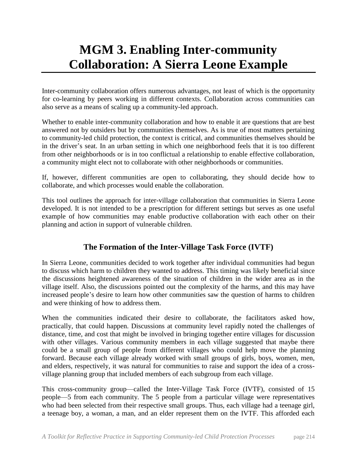# **MGM 3. Enabling Inter-community Collaboration: A Sierra Leone Example**

Inter-community collaboration offers numerous advantages, not least of which is the opportunity for co-learning by peers working in different contexts. Collaboration across communities can also serve as a means of scaling up a community-led approach.

Whether to enable inter-community collaboration and how to enable it are questions that are best answered not by outsiders but by communities themselves. As is true of most matters pertaining to community-led child protection, the context is critical, and communities themselves should be in the driver's seat. In an urban setting in which one neighborhood feels that it is too different from other neighborhoods or is in too conflictual a relationship to enable effective collaboration, a community might elect not to collaborate with other neighborhoods or communities.

If, however, different communities are open to collaborating, they should decide how to collaborate, and which processes would enable the collaboration.

This tool outlines the approach for inter-village collaboration that communities in Sierra Leone developed. It is not intended to be a prescription for different settings but serves as one useful example of how communities may enable productive collaboration with each other on their planning and action in support of vulnerable children.

# **The Formation of the Inter-Village Task Force (IVTF)**

In Sierra Leone, communities decided to work together after individual communities had begun to discuss which harm to children they wanted to address. This timing was likely beneficial since the discussions heightened awareness of the situation of children in the wider area as in the village itself. Also, the discussions pointed out the complexity of the harms, and this may have increased people's desire to learn how other communities saw the question of harms to children and were thinking of how to address them.

When the communities indicated their desire to collaborate, the facilitators asked how, practically, that could happen. Discussions at community level rapidly noted the challenges of distance, time, and cost that might be involved in bringing together entire villages for discussion with other villages. Various community members in each village suggested that maybe there could be a small group of people from different villages who could help move the planning forward. Because each village already worked with small groups of girls, boys, women, men, and elders, respectively, it was natural for communities to raise and support the idea of a crossvillage planning group that included members of each subgroup from each village.

This cross-community group—called the Inter-Village Task Force (IVTF), consisted of 15 people—5 from each community. The 5 people from a particular village were representatives who had been selected from their respective small groups. Thus, each village had a teenage girl, a teenage boy, a woman, a man, and an elder represent them on the IVTF. This afforded each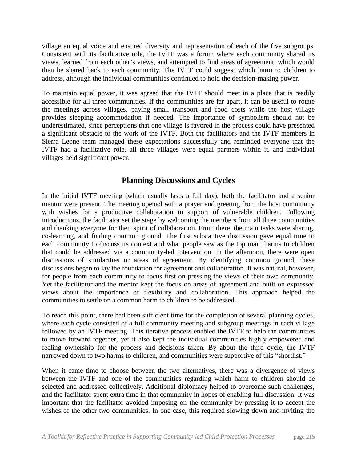village an equal voice and ensured diversity and representation of each of the five subgroups. Consistent with its facilitative role, the IVTF was a forum where each community shared its views, learned from each other's views, and attempted to find areas of agreement, which would then be shared back to each community. The IVTF could suggest which harm to children to address, although the individual communities continued to hold the decision-making power.

To maintain equal power, it was agreed that the IVTF should meet in a place that is readily accessible for all three communities. If the communities are far apart, it can be useful to rotate the meetings across villages, paying small transport and food costs while the host village provides sleeping accommodation if needed. The importance of symbolism should not be underestimated, since perceptions that one village is favored in the process could have presented a significant obstacle to the work of the IVTF. Both the facilitators and the IVTF members in Sierra Leone team managed these expectations successfully and reminded everyone that the IVTF had a facilitative role, all three villages were equal partners within it, and individual villages held significant power.

## **Planning Discussions and Cycles**

In the initial IVTF meeting (which usually lasts a full day), both the facilitator and a senior mentor were present. The meeting opened with a prayer and greeting from the host community with wishes for a productive collaboration in support of vulnerable children. Following introductions, the facilitator set the stage by welcoming the members from all three communities and thanking everyone for their spirit of collaboration. From there, the main tasks were sharing, co-learning, and finding common ground. The first substantive discussion gave equal time to each community to discuss its context and what people saw as the top main harms to children that could be addressed via a community-led intervention. In the afternoon, there were open discussions of similarities or areas of agreement. By identifying common ground, these discussions began to lay the foundation for agreement and collaboration. It was natural, however, for people from each community to focus first on pressing the views of their own community. Yet the facilitator and the mentor kept the focus on areas of agreement and built on expressed views about the importance of flexibility and collaboration. This approach helped the communities to settle on a common harm to children to be addressed.

To reach this point, there had been sufficient time for the completion of several planning cycles, where each cycle consisted of a full community meeting and subgroup meetings in each village followed by an IVTF meeting. This iterative process enabled the IVTF to help the communities to move forward together, yet it also kept the individual communities highly empowered and feeling ownership for the process and decisions taken. By about the third cycle, the IVTF narrowed down to two harms to children, and communities were supportive of this "shortlist."

When it came time to choose between the two alternatives, there was a divergence of views between the IVTF and one of the communities regarding which harm to children should be selected and addressed collectively. Additional diplomacy helped to overcome such challenges, and the facilitator spent extra time in that community in hopes of enabling full discussion. It was important that the facilitator avoided imposing on the community by pressing it to accept the wishes of the other two communities. In one case, this required slowing down and inviting the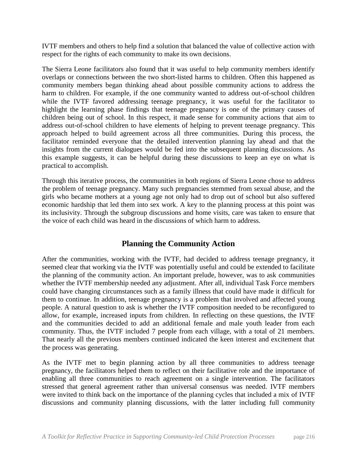IVTF members and others to help find a solution that balanced the value of collective action with respect for the rights of each community to make its own decisions.

The Sierra Leone facilitators also found that it was useful to help community members identify overlaps or connections between the two short-listed harms to children. Often this happened as community members began thinking ahead about possible community actions to address the harm to children. For example, if the one community wanted to address out-of-school children while the IVTF favored addressing teenage pregnancy, it was useful for the facilitator to highlight the learning phase findings that teenage pregnancy is one of the primary causes of children being out of school. In this respect, it made sense for community actions that aim to address out-of-school children to have elements of helping to prevent teenage pregnancy. This approach helped to build agreement across all three communities. During this process, the facilitator reminded everyone that the detailed intervention planning lay ahead and that the insights from the current dialogues would be fed into the subsequent planning discussions. As this example suggests, it can be helpful during these discussions to keep an eye on what is practical to accomplish.

Through this iterative process, the communities in both regions of Sierra Leone chose to address the problem of teenage pregnancy. Many such pregnancies stemmed from sexual abuse, and the girls who became mothers at a young age not only had to drop out of school but also suffered economic hardship that led them into sex work. A key to the planning process at this point was its inclusivity. Through the subgroup discussions and home visits, care was taken to ensure that the voice of each child was heard in the discussions of which harm to address.

## **Planning the Community Action**

After the communities, working with the IVTF, had decided to address teenage pregnancy, it seemed clear that working via the IVTF was potentially useful and could be extended to facilitate the planning of the community action. An important prelude, however, was to ask communities whether the IVTF membership needed any adjustment. After all, individual Task Force members could have changing circumstances such as a family illness that could have made it difficult for them to continue. In addition, teenage pregnancy is a problem that involved and affected young people. A natural question to ask is whether the IVTF composition needed to be reconfigured to allow, for example, increased inputs from children. In reflecting on these questions, the IVTF and the communities decided to add an additional female and male youth leader from each community. Thus, the IVTF included 7 people from each village, with a total of 21 members. That nearly all the previous members continued indicated the keen interest and excitement that the process was generating.

As the IVTF met to begin planning action by all three communities to address teenage pregnancy, the facilitators helped them to reflect on their facilitative role and the importance of enabling all three communities to reach agreement on a single intervention. The facilitators stressed that general agreement rather than universal consensus was needed. IVTF members were invited to think back on the importance of the planning cycles that included a mix of IVTF discussions and community planning discussions, with the latter including full community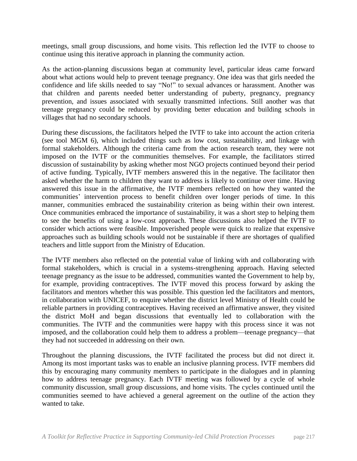meetings, small group discussions, and home visits. This reflection led the IVTF to choose to continue using this iterative approach in planning the community action.

As the action-planning discussions began at community level, particular ideas came forward about what actions would help to prevent teenage pregnancy. One idea was that girls needed the confidence and life skills needed to say "No!" to sexual advances or harassment. Another was that children and parents needed better understanding of puberty, pregnancy, pregnancy prevention, and issues associated with sexually transmitted infections. Still another was that teenage pregnancy could be reduced by providing better education and building schools in villages that had no secondary schools.

During these discussions, the facilitators helped the IVTF to take into account the action criteria (see tool MGM 6), which included things such as low cost, sustainability, and linkage with formal stakeholders. Although the criteria came from the action research team, they were not imposed on the IVTF or the communities themselves. For example, the facilitators stirred discussion of sustainability by asking whether most NGO projects continued beyond their period of active funding. Typically, IVTF members answered this in the negative. The facilitator then asked whether the harm to children they want to address is likely to continue over time. Having answered this issue in the affirmative, the IVTF members reflected on how they wanted the communities' intervention process to benefit children over longer periods of time. In this manner, communities embraced the sustainability criterion as being within their own interest. Once communities embraced the importance of sustainability, it was a short step to helping them to see the benefits of using a low-cost approach. These discussions also helped the IVTF to consider which actions were feasible. Impoverished people were quick to realize that expensive approaches such as building schools would not be sustainable if there are shortages of qualified teachers and little support from the Ministry of Education.

The IVTF members also reflected on the potential value of linking with and collaborating with formal stakeholders, which is crucial in a systems-strengthening approach. Having selected teenage pregnancy as the issue to be addressed, communities wanted the Government to help by, for example, providing contraceptives. The IVTF moved this process forward by asking the facilitators and mentors whether this was possible. This question led the facilitators and mentors, in collaboration with UNICEF, to enquire whether the district level Ministry of Health could be reliable partners in providing contraceptives. Having received an affirmative answer, they visited the district MoH and began discussions that eventually led to collaboration with the communities. The IVTF and the communities were happy with this process since it was not imposed, and the collaboration could help them to address a problem—teenage pregnancy—that they had not succeeded in addressing on their own.

Throughout the planning discussions, the IVTF facilitated the process but did not direct it. Among its most important tasks was to enable an inclusive planning process. IVTF members did this by encouraging many community members to participate in the dialogues and in planning how to address teenage pregnancy. Each IVTF meeting was followed by a cycle of whole community discussion, small group discussions, and home visits. The cycles continued until the communities seemed to have achieved a general agreement on the outline of the action they wanted to take.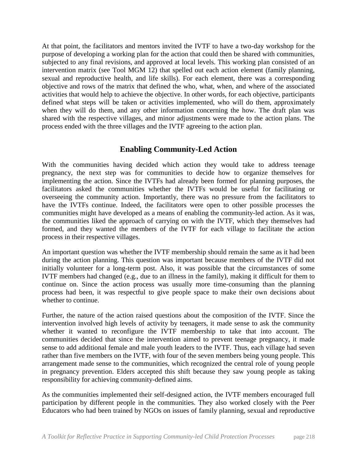At that point, the facilitators and mentors invited the IVTF to have a two-day workshop for the purpose of developing a working plan for the action that could then be shared with communities, subjected to any final revisions, and approved at local levels. This working plan consisted of an intervention matrix (see Tool MGM 12) that spelled out each action element (family planning, sexual and reproductive health, and life skills). For each element, there was a corresponding objective and rows of the matrix that defined the who, what, when, and where of the associated activities that would help to achieve the objective. In other words, for each objective, participants defined what steps will be taken or activities implemented, who will do them, approximately when they will do them, and any other information concerning the how. The draft plan was shared with the respective villages, and minor adjustments were made to the action plans. The process ended with the three villages and the IVTF agreeing to the action plan.

## **Enabling Community-Led Action**

With the communities having decided which action they would take to address teenage pregnancy, the next step was for communities to decide how to organize themselves for implementing the action. Since the IVTFs had already been formed for planning purposes, the facilitators asked the communities whether the IVTFs would be useful for facilitating or overseeing the community action. Importantly, there was no pressure from the facilitators to have the IVTFs continue. Indeed, the facilitators were open to other possible processes the communities might have developed as a means of enabling the community-led action. As it was, the communities liked the approach of carrying on with the IVTF, which they themselves had formed, and they wanted the members of the IVTF for each village to facilitate the action process in their respective villages.

An important question was whether the IVTF membership should remain the same as it had been during the action planning. This question was important because members of the IVTF did not initially volunteer for a long-term post. Also, it was possible that the circumstances of some IVTF members had changed (e.g., due to an illness in the family), making it difficult for them to continue on. Since the action process was usually more time-consuming than the planning process had been, it was respectful to give people space to make their own decisions about whether to continue.

Further, the nature of the action raised questions about the composition of the IVTF. Since the intervention involved high levels of activity by teenagers, it made sense to ask the community whether it wanted to reconfigure the IVTF membership to take that into account. The communities decided that since the intervention aimed to prevent teenage pregnancy, it made sense to add additional female and male youth leaders to the IVTF. Thus, each village had seven rather than five members on the IVTF, with four of the seven members being young people. This arrangement made sense to the communities, which recognized the central role of young people in pregnancy prevention. Elders accepted this shift because they saw young people as taking responsibility for achieving community-defined aims.

As the communities implemented their self-designed action, the IVTF members encouraged full participation by different people in the communities. They also worked closely with the Peer Educators who had been trained by NGOs on issues of family planning, sexual and reproductive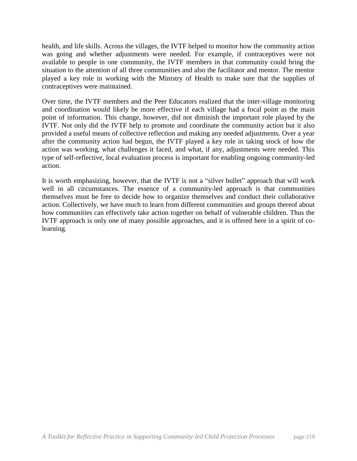health, and life skills. Across the villages, the IVTF helped to monitor how the community action was going and whether adjustments were needed. For example, if contraceptives were not available to people in one community, the IVTF members in that community could bring the situation to the attention of all three communities and also the facilitator and mentor. The mentor played a key role in working with the Ministry of Health to make sure that the supplies of contraceptives were maintained.

Over time, the IVTF members and the Peer Educators realized that the inter-village monitoring and coordination would likely be more effective if each village had a focal point as the main point of information. This change, however, did not diminish the important role played by the IVTF. Not only did the IVTF help to promote and coordinate the community action but it also provided a useful means of collective reflection and making any needed adjustments. Over a year after the community action had begun, the IVTF played a key role in taking stock of how the action was working, what challenges it faced, and what, if any, adjustments were needed. This type of self-reflective, local evaluation process is important for enabling ongoing community-led action.

It is worth emphasizing, however, that the IVTF is not a "silver bullet" approach that will work well in all circumstances. The essence of a community-led approach is that communities themselves must be free to decide how to organize themselves and conduct their collaborative action. Collectively, we have much to learn from different communities and groups thereof about how communities can effectively take action together on behalf of vulnerable children. Thus the IVTF approach is only one of many possible approaches, and it is offered here in a spirit of colearning.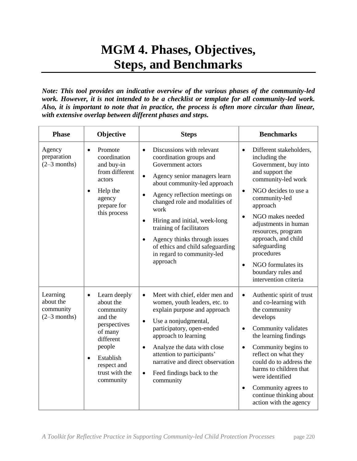# **MGM 4. Phases, Objectives, Steps, and Benchmarks**

*Note: This tool provides an indicative overview of the various phases of the community-led work. However, it is not intended to be a checklist or template for all community-led work. Also, it is important to note that in practice, the process is often more circular than linear, with extensive overlap between different phases and steps.*

| <b>Phase</b>                                         | Objective                                                                                                                                                                                | <b>Steps</b>                                                                                                                                                                                                                                                                                                                                                                                                                                                     | <b>Benchmarks</b>                                                                                                                                                                                                                                                                                                                                                                                              |
|------------------------------------------------------|------------------------------------------------------------------------------------------------------------------------------------------------------------------------------------------|------------------------------------------------------------------------------------------------------------------------------------------------------------------------------------------------------------------------------------------------------------------------------------------------------------------------------------------------------------------------------------------------------------------------------------------------------------------|----------------------------------------------------------------------------------------------------------------------------------------------------------------------------------------------------------------------------------------------------------------------------------------------------------------------------------------------------------------------------------------------------------------|
| Agency<br>preparation<br>$(2-3$ months)              | Promote<br>$\bullet$<br>coordination<br>and buy-in<br>from different<br>actors<br>Help the<br>$\bullet$<br>agency<br>prepare for<br>this process                                         | Discussions with relevant<br>$\bullet$<br>coordination groups and<br>Government actors<br>Agency senior managers learn<br>$\bullet$<br>about community-led approach<br>Agency reflection meetings on<br>$\bullet$<br>changed role and modalities of<br>work<br>Hiring and initial, week-long<br>$\bullet$<br>training of facilitators<br>Agency thinks through issues<br>$\bullet$<br>of ethics and child safeguarding<br>in regard to community-led<br>approach | Different stakeholders,<br>$\bullet$<br>including the<br>Government, buy into<br>and support the<br>community-led work<br>NGO decides to use a<br>$\bullet$<br>community-led<br>approach<br>NGO makes needed<br>$\bullet$<br>adjustments in human<br>resources, program<br>approach, and child<br>safeguarding<br>procedures<br>NGO formulates its<br>$\bullet$<br>boundary rules and<br>intervention criteria |
| Learning<br>about the<br>community<br>$(2-3$ months) | Learn deeply<br>$\bullet$<br>about the<br>community<br>and the<br>perspectives<br>of many<br>different<br>people<br>Establish<br>$\bullet$<br>respect and<br>trust with the<br>community | Meet with chief, elder men and<br>$\bullet$<br>women, youth leaders, etc. to<br>explain purpose and approach<br>Use a nonjudgmental,<br>$\bullet$<br>participatory, open-ended<br>approach to learning<br>Analyze the data with close<br>$\bullet$<br>attention to participants'<br>narrative and direct observation<br>Feed findings back to the<br>$\bullet$<br>community                                                                                      | Authentic spirit of trust<br>$\bullet$<br>and co-learning with<br>the community<br>develops<br>Community validates<br>$\bullet$<br>the learning findings<br>Community begins to<br>$\bullet$<br>reflect on what they<br>could do to address the<br>harms to children that<br>were identified<br>Community agrees to<br>$\bullet$<br>continue thinking about<br>action with the agency                          |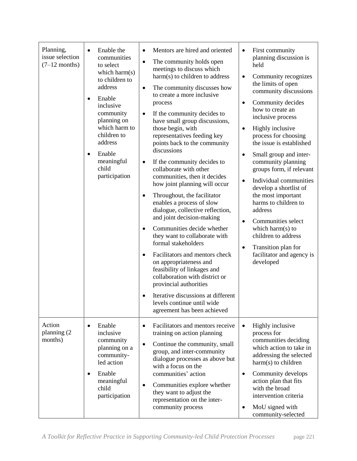| Planning,<br>issue selection<br>$(7-12$ months) | Enable the<br>$\bullet$<br>communities<br>to select<br>which harm(s)<br>to children to<br>address<br>Enable<br>$\bullet$<br>inclusive<br>community<br>planning on<br>which harm to<br>children to<br>address<br>Enable<br>$\bullet$<br>meaningful<br>child<br>participation | Mentors are hired and oriented<br>$\bullet$<br>The community holds open<br>$\bullet$<br>meetings to discuss which<br>harm(s) to children to address<br>The community discusses how<br>$\bullet$<br>to create a more inclusive<br>process<br>If the community decides to<br>$\bullet$<br>have small group discussions,<br>those begin, with<br>representatives feeding key<br>points back to the community<br>discussions<br>If the community decides to<br>$\bullet$<br>collaborate with other<br>communities, then it decides<br>how joint planning will occur<br>Throughout, the facilitator<br>٠<br>enables a process of slow<br>dialogue, collective reflection,<br>and joint decision-making<br>Communities decide whether<br>$\bullet$<br>they want to collaborate with<br>formal stakeholders<br>Facilitators and mentors check<br>$\bullet$<br>on appropriateness and<br>feasibility of linkages and<br>collaboration with district or<br>provincial authorities<br>Iterative discussions at different<br>$\bullet$<br>levels continue until wide<br>agreement has been achieved | First community<br>$\bullet$<br>planning discussion is<br>held<br>Community recognizes<br>$\bullet$<br>the limits of open<br>community discussions<br>Community decides<br>$\bullet$<br>how to create an<br>inclusive process<br>Highly inclusive<br>$\bullet$<br>process for choosing<br>the issue is established<br>Small group and inter-<br>$\bullet$<br>community planning<br>groups form, if relevant<br>Individual communities<br>$\bullet$<br>develop a shortlist of<br>the most important<br>harms to children to<br>address<br>Communities select<br>$\bullet$<br>which harm(s) to<br>children to address<br>Transition plan for<br>$\bullet$<br>facilitator and agency is<br>developed |
|-------------------------------------------------|-----------------------------------------------------------------------------------------------------------------------------------------------------------------------------------------------------------------------------------------------------------------------------|------------------------------------------------------------------------------------------------------------------------------------------------------------------------------------------------------------------------------------------------------------------------------------------------------------------------------------------------------------------------------------------------------------------------------------------------------------------------------------------------------------------------------------------------------------------------------------------------------------------------------------------------------------------------------------------------------------------------------------------------------------------------------------------------------------------------------------------------------------------------------------------------------------------------------------------------------------------------------------------------------------------------------------------------------------------------------------------|---------------------------------------------------------------------------------------------------------------------------------------------------------------------------------------------------------------------------------------------------------------------------------------------------------------------------------------------------------------------------------------------------------------------------------------------------------------------------------------------------------------------------------------------------------------------------------------------------------------------------------------------------------------------------------------------------|
| Action<br>planning (2<br>months)                | Enable<br>$\bullet$<br>inclusive<br>community<br>planning on a<br>community-<br>led action<br>Enable<br>$\bullet$<br>meaningful<br>child<br>participation                                                                                                                   | Facilitators and mentors receive<br>$\bullet$<br>training on action planning<br>Continue the community, small<br>$\bullet$<br>group, and inter-community<br>dialogue processes as above but<br>with a focus on the<br>communities' action<br>Communities explore whether<br>$\bullet$<br>they want to adjust the<br>representation on the inter-<br>community process                                                                                                                                                                                                                                                                                                                                                                                                                                                                                                                                                                                                                                                                                                                    | Highly inclusive<br>$\bullet$<br>process for<br>communities deciding<br>which action to take in<br>addressing the selected<br>harm(s) to children<br>Community develops<br>$\bullet$<br>action plan that fits<br>with the broad<br>intervention criteria<br>MoU signed with<br>$\bullet$<br>community-selected                                                                                                                                                                                                                                                                                                                                                                                    |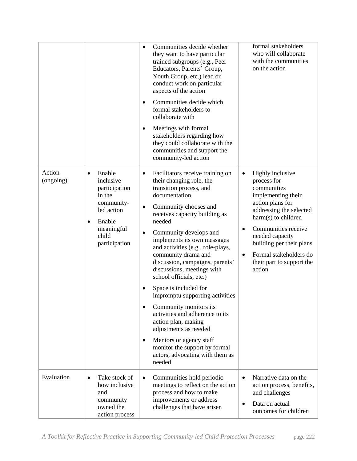|                     |                                                                                                                                                        | Communities decide whether<br>$\bullet$<br>they want to have particular<br>trained subgroups (e.g., Peer<br>Educators, Parents' Group,<br>Youth Group, etc.) lead or<br>conduct work on particular<br>aspects of the action<br>Communities decide which<br>$\bullet$<br>formal stakeholders to<br>collaborate with<br>Meetings with formal<br>٠<br>stakeholders regarding how<br>they could collaborate with the<br>communities and support the<br>community-led action                                                                                                                                                                                                                                                             | formal stakeholders<br>who will collaborate<br>with the communities<br>on the action                                                                                                                                                                                                                                     |
|---------------------|--------------------------------------------------------------------------------------------------------------------------------------------------------|-------------------------------------------------------------------------------------------------------------------------------------------------------------------------------------------------------------------------------------------------------------------------------------------------------------------------------------------------------------------------------------------------------------------------------------------------------------------------------------------------------------------------------------------------------------------------------------------------------------------------------------------------------------------------------------------------------------------------------------|--------------------------------------------------------------------------------------------------------------------------------------------------------------------------------------------------------------------------------------------------------------------------------------------------------------------------|
| Action<br>(ongoing) | Enable<br>$\bullet$<br>inclusive<br>participation<br>in the<br>community-<br>led action<br>Enable<br>$\bullet$<br>meaningful<br>child<br>participation | Facilitators receive training on<br>$\bullet$<br>their changing role, the<br>transition process, and<br>documentation<br>Community chooses and<br>$\bullet$<br>receives capacity building as<br>needed<br>Community develops and<br>$\bullet$<br>implements its own messages<br>and activities (e.g., role-plays,<br>community drama and<br>discussion, campaigns, parents'<br>discussions, meetings with<br>school officials, etc.)<br>Space is included for<br>impromptu supporting activities<br>Community monitors its<br>activities and adherence to its<br>action plan, making<br>adjustments as needed<br>Mentors or agency staff<br>$\bullet$<br>monitor the support by formal<br>actors, advocating with them as<br>needed | Highly inclusive<br>$\bullet$<br>process for<br>communities<br>implementing their<br>action plans for<br>addressing the selected<br>harm(s) to children<br>Communities receive<br>$\bullet$<br>needed capacity<br>building per their plans<br>Formal stakeholders do<br>$\bullet$<br>their part to support the<br>action |
| Evaluation          | Take stock of<br>$\bullet$<br>how inclusive<br>and<br>community<br>owned the<br>action process                                                         | Communities hold periodic<br>$\bullet$<br>meetings to reflect on the action<br>process and how to make<br>improvements or address<br>challenges that have arisen                                                                                                                                                                                                                                                                                                                                                                                                                                                                                                                                                                    | Narrative data on the<br>action process, benefits,<br>and challenges<br>Data on actual<br>$\bullet$<br>outcomes for children                                                                                                                                                                                             |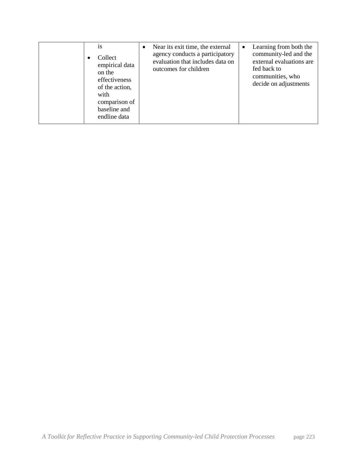|  |  | <b>1S</b><br>Collect<br>empirical data<br>on the<br>effectiveness<br>of the action,<br>with<br>comparison of<br>baseline and<br>endline data | $\bullet$ | Near its exit time, the external<br>agency conducts a participatory<br>evaluation that includes data on<br>outcomes for children | $\bullet$ | Learning from both the<br>community-led and the<br>external evaluations are<br>fed back to<br>communities, who<br>decide on adjustments |
|--|--|----------------------------------------------------------------------------------------------------------------------------------------------|-----------|----------------------------------------------------------------------------------------------------------------------------------|-----------|-----------------------------------------------------------------------------------------------------------------------------------------|
|--|--|----------------------------------------------------------------------------------------------------------------------------------------------|-----------|----------------------------------------------------------------------------------------------------------------------------------|-----------|-----------------------------------------------------------------------------------------------------------------------------------------|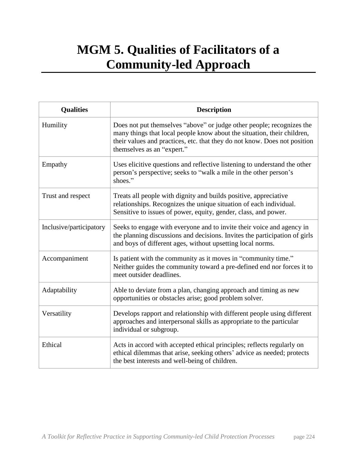# **MGM 5. Qualities of Facilitators of a Community-led Approach**

| <b>Qualities</b>        | <b>Description</b>                                                                                                                                                                                                                                          |
|-------------------------|-------------------------------------------------------------------------------------------------------------------------------------------------------------------------------------------------------------------------------------------------------------|
| Humility                | Does not put themselves "above" or judge other people; recognizes the<br>many things that local people know about the situation, their children,<br>their values and practices, etc. that they do not know. Does not position<br>themselves as an "expert." |
| Empathy                 | Uses elicitive questions and reflective listening to understand the other<br>person's perspective; seeks to "walk a mile in the other person's<br>shoes."                                                                                                   |
| Trust and respect       | Treats all people with dignity and builds positive, appreciative<br>relationships. Recognizes the unique situation of each individual.<br>Sensitive to issues of power, equity, gender, class, and power.                                                   |
| Inclusive/participatory | Seeks to engage with everyone and to invite their voice and agency in<br>the planning discussions and decisions. Invites the participation of girls<br>and boys of different ages, without upsetting local norms.                                           |
| Accompaniment           | Is patient with the community as it moves in "community time."<br>Neither guides the community toward a pre-defined end nor forces it to<br>meet outsider deadlines.                                                                                        |
| Adaptability            | Able to deviate from a plan, changing approach and timing as new<br>opportunities or obstacles arise; good problem solver.                                                                                                                                  |
| Versatility             | Develops rapport and relationship with different people using different<br>approaches and interpersonal skills as appropriate to the particular<br>individual or subgroup.                                                                                  |
| Ethical                 | Acts in accord with accepted ethical principles; reflects regularly on<br>ethical dilemmas that arise, seeking others' advice as needed; protects<br>the best interests and well-being of children.                                                         |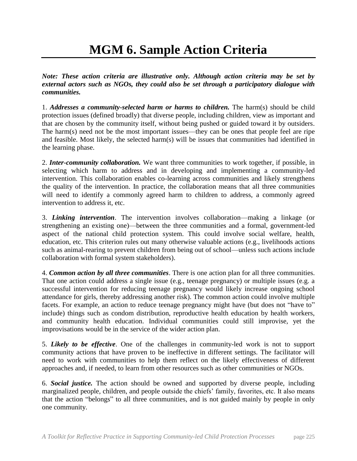# **MGM 6. Sample Action Criteria**

*Note: These action criteria are illustrative only. Although action criteria may be set by external actors such as NGOs, they could also be set through a participatory dialogue with communities.* 

1. *Addresses a community-selected harm or harms to children.* The harm(s) should be child protection issues (defined broadly) that diverse people, including children, view as important and that are chosen by the community itself, without being pushed or guided toward it by outsiders. The harm(s) need not be the most important issues—they can be ones that people feel are ripe and feasible. Most likely, the selected harm(s) will be issues that communities had identified in the learning phase.

2. *Inter-community collaboration.* We want three communities to work together, if possible, in selecting which harm to address and in developing and implementing a community-led intervention. This collaboration enables co-learning across communities and likely strengthens the quality of the intervention. In practice, the collaboration means that all three communities will need to identify a commonly agreed harm to children to address, a commonly agreed intervention to address it, etc.

3. *Linking intervention*. The intervention involves collaboration—making a linkage (or strengthening an existing one)—between the three communities and a formal, government-led aspect of the national child protection system. This could involve social welfare, health, education, etc. This criterion rules out many otherwise valuable actions (e.g., livelihoods actions such as animal-rearing to prevent children from being out of school—unless such actions include collaboration with formal system stakeholders).

4. *Common action by all three communities*. There is one action plan for all three communities. That one action could address a single issue (e.g., teenage pregnancy) or multiple issues (e.g. a successful intervention for reducing teenage pregnancy would likely increase ongoing school attendance for girls, thereby addressing another risk). The common action could involve multiple facets. For example, an action to reduce teenage pregnancy might have (but does not "have to" include) things such as condom distribution, reproductive health education by health workers, and community health education. Individual communities could still improvise, yet the improvisations would be in the service of the wider action plan.

5. *Likely to be effective*. One of the challenges in community-led work is not to support community actions that have proven to be ineffective in different settings. The facilitator will need to work with communities to help them reflect on the likely effectiveness of different approaches and, if needed, to learn from other resources such as other communities or NGOs.

6. *Social justice.* The action should be owned and supported by diverse people, including marginalized people, children, and people outside the chiefs' family, favorites, etc. It also means that the action "belongs" to all three communities, and is not guided mainly by people in only one community.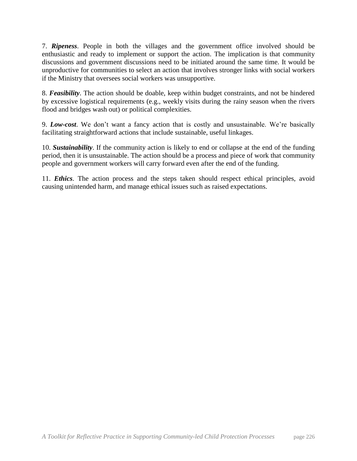7. *Ripeness*. People in both the villages and the government office involved should be enthusiastic and ready to implement or support the action. The implication is that community discussions and government discussions need to be initiated around the same time. It would be unproductive for communities to select an action that involves stronger links with social workers if the Ministry that oversees social workers was unsupportive.

8. *Feasibility*. The action should be doable, keep within budget constraints, and not be hindered by excessive logistical requirements (e.g., weekly visits during the rainy season when the rivers flood and bridges wash out) or political complexities.

9. *Low-cost*. We don't want a fancy action that is costly and unsustainable. We're basically facilitating straightforward actions that include sustainable, useful linkages.

10. *Sustainability*. If the community action is likely to end or collapse at the end of the funding period, then it is unsustainable. The action should be a process and piece of work that community people and government workers will carry forward even after the end of the funding.

11. *Ethics*. The action process and the steps taken should respect ethical principles, avoid causing unintended harm, and manage ethical issues such as raised expectations.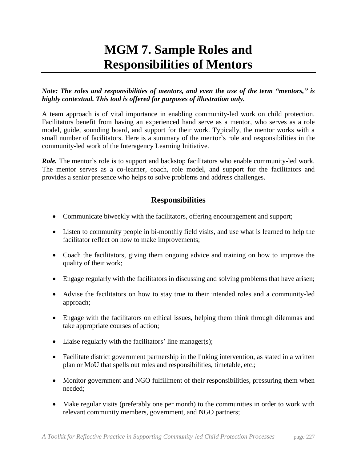# **MGM 7. Sample Roles and Responsibilities of Mentors**

*Note: The roles and responsibilities of mentors, and even the use of the term "mentors," is highly contextual. This tool is offered for purposes of illustration only.*

A team approach is of vital importance in enabling community-led work on child protection. Facilitators benefit from having an experienced hand serve as a mentor, who serves as a role model, guide, sounding board, and support for their work. Typically, the mentor works with a small number of facilitators. Here is a summary of the mentor's role and responsibilities in the community-led work of the Interagency Learning Initiative.

*Role.* The mentor's role is to support and backstop facilitators who enable community-led work. The mentor serves as a co-learner, coach, role model, and support for the facilitators and provides a senior presence who helps to solve problems and address challenges.

## **Responsibilities**

- Communicate biweekly with the facilitators, offering encouragement and support;
- Listen to community people in bi-monthly field visits, and use what is learned to help the facilitator reflect on how to make improvements;
- Coach the facilitators, giving them ongoing advice and training on how to improve the quality of their work;
- Engage regularly with the facilitators in discussing and solving problems that have arisen;
- Advise the facilitators on how to stay true to their intended roles and a community-led approach;
- Engage with the facilitators on ethical issues, helping them think through dilemmas and take appropriate courses of action;
- Liaise regularly with the facilitators' line manager(s);
- Facilitate district government partnership in the linking intervention, as stated in a written plan or MoU that spells out roles and responsibilities, timetable, etc.;
- Monitor government and NGO fulfillment of their responsibilities, pressuring them when needed;
- Make regular visits (preferably one per month) to the communities in order to work with relevant community members, government, and NGO partners;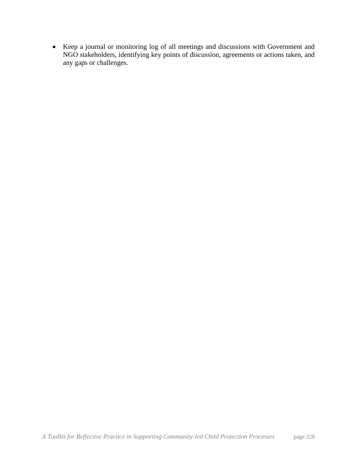• Keep a journal or monitoring log of all meetings and discussions with Government and NGO stakeholders, identifying key points of discussion, agreements or actions taken, and any gaps or challenges.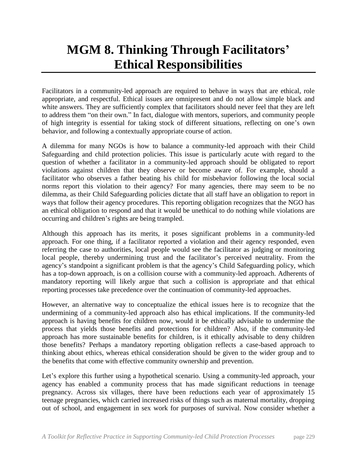# **MGM 8. Thinking Through Facilitators' Ethical Responsibilities**

Facilitators in a community-led approach are required to behave in ways that are ethical, role appropriate, and respectful. Ethical issues are omnipresent and do not allow simple black and white answers. They are sufficiently complex that facilitators should never feel that they are left to address them "on their own." In fact, dialogue with mentors, superiors, and community people of high integrity is essential for taking stock of different situations, reflecting on one's own behavior, and following a contextually appropriate course of action.

A dilemma for many NGOs is how to balance a community-led approach with their Child Safeguarding and child protection policies. This issue is particularly acute with regard to the question of whether a facilitator in a community-led approach should be obligated to report violations against children that they observe or become aware of. For example, should a facilitator who observes a father beating his child for misbehavior following the local social norms report this violation to their agency? For many agencies, there may seem to be no dilemma, as their Child Safeguarding policies dictate that all staff have an obligation to report in ways that follow their agency procedures. This reporting obligation recognizes that the NGO has an ethical obligation to respond and that it would be unethical to do nothing while violations are occurring and children's rights are being trampled.

Although this approach has its merits, it poses significant problems in a community-led approach. For one thing, if a facilitator reported a violation and their agency responded, even referring the case to authorities, local people would see the facilitator as judging or monitoring local people, thereby undermining trust and the facilitator's perceived neutrality. From the agency's standpoint a significant problem is that the agency's Child Safeguarding policy, which has a top-down approach, is on a collision course with a community-led approach. Adherents of mandatory reporting will likely argue that such a collision is appropriate and that ethical reporting processes take precedence over the continuation of community-led approaches.

However, an alternative way to conceptualize the ethical issues here is to recognize that the undermining of a community-led approach also has ethical implications. If the community-led approach is having benefits for children now, would it be ethically advisable to undermine the process that yields those benefits and protections for children? Also, if the community-led approach has more sustainable benefits for children, is it ethically advisable to deny children those benefits? Perhaps a mandatory reporting obligation reflects a case-based approach to thinking about ethics, whereas ethical consideration should be given to the wider group and to the benefits that come with effective community ownership and prevention.

Let's explore this further using a hypothetical scenario. Using a community-led approach, your agency has enabled a community process that has made significant reductions in teenage pregnancy. Across six villages, there have been reductions each year of approximately 15 teenage pregnancies, which carried increased risks of things such as maternal mortality, dropping out of school, and engagement in sex work for purposes of survival. Now consider whether a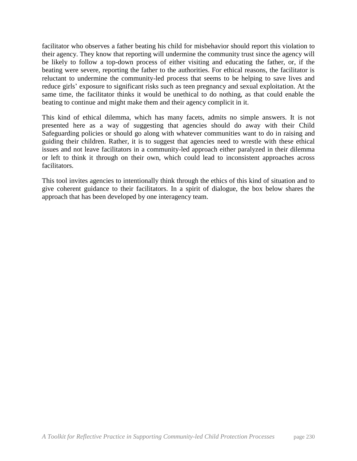facilitator who observes a father beating his child for misbehavior should report this violation to their agency. They know that reporting will undermine the community trust since the agency will be likely to follow a top-down process of either visiting and educating the father, or, if the beating were severe, reporting the father to the authorities. For ethical reasons, the facilitator is reluctant to undermine the community-led process that seems to be helping to save lives and reduce girls' exposure to significant risks such as teen pregnancy and sexual exploitation. At the same time, the facilitator thinks it would be unethical to do nothing, as that could enable the beating to continue and might make them and their agency complicit in it.

This kind of ethical dilemma, which has many facets, admits no simple answers. It is not presented here as a way of suggesting that agencies should do away with their Child Safeguarding policies or should go along with whatever communities want to do in raising and guiding their children. Rather, it is to suggest that agencies need to wrestle with these ethical issues and not leave facilitators in a community-led approach either paralyzed in their dilemma or left to think it through on their own, which could lead to inconsistent approaches across facilitators.

This tool invites agencies to intentionally think through the ethics of this kind of situation and to give coherent guidance to their facilitators. In a spirit of dialogue, the box below shares the approach that has been developed by one interagency team.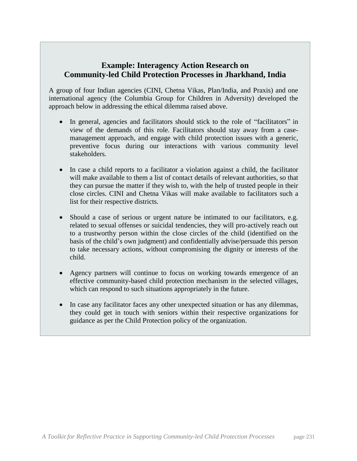## **Example: Interagency Action Research on Community-led Child Protection Processes in Jharkhand, India**

A group of four Indian agencies (CINI, Chetna Vikas, Plan/India, and Praxis) and one international agency (the Columbia Group for Children in Adversity) developed the approach below in addressing the ethical dilemma raised above.

- In general, agencies and facilitators should stick to the role of "facilitators" in view of the demands of this role. Facilitators should stay away from a casemanagement approach, and engage with child protection issues with a generic, preventive focus during our interactions with various community level stakeholders.
- In case a child reports to a facilitator a violation against a child, the facilitator will make available to them a list of contact details of relevant authorities, so that they can pursue the matter if they wish to, with the help of trusted people in their close circles. CINI and Chetna Vikas will make available to facilitators such a list for their respective districts.
- Should a case of serious or urgent nature be intimated to our facilitators, e.g. related to sexual offenses or suicidal tendencies, they will pro-actively reach out to a trustworthy person within the close circles of the child (identified on the basis of the child's own judgment) and confidentially advise/persuade this person to take necessary actions, without compromising the dignity or interests of the child.
- Agency partners will continue to focus on working towards emergence of an effective community-based child protection mechanism in the selected villages, which can respond to such situations appropriately in the future.
- In case any facilitator faces any other unexpected situation or has any dilemmas, they could get in touch with seniors within their respective organizations for guidance as per the Child Protection policy of the organization.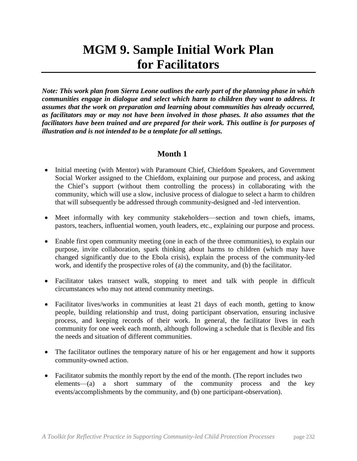# **MGM 9. Sample Initial Work Plan for Facilitators**

*Note: This work plan from Sierra Leone outlines the early part of the planning phase in which communities engage in dialogue and select which harm to children they want to address. It assumes that the work on preparation and learning about communities has already occurred, as facilitators may or may not have been involved in those phases. It also assumes that the facilitators have been trained and are prepared for their work. This outline is for purposes of illustration and is not intended to be a template for all settings.*

## **Month 1**

- Initial meeting (with Mentor) with Paramount Chief, Chiefdom Speakers, and Government Social Worker assigned to the Chiefdom, explaining our purpose and process, and asking the Chief's support (without them controlling the process) in collaborating with the community, which will use a slow, inclusive process of dialogue to select a harm to children that will subsequently be addressed through community-designed and -led intervention.
- Meet informally with key community stakeholders—section and town chiefs, imams, pastors, teachers, influential women, youth leaders, etc., explaining our purpose and process.
- Enable first open community meeting (one in each of the three communities), to explain our purpose, invite collaboration, spark thinking about harms to children (which may have changed significantly due to the Ebola crisis), explain the process of the community-led work, and identify the prospective roles of (a) the community, and (b) the facilitator.
- Facilitator takes transect walk, stopping to meet and talk with people in difficult circumstances who may not attend community meetings.
- Facilitator lives/works in communities at least 21 days of each month, getting to know people, building relationship and trust, doing participant observation, ensuring inclusive process, and keeping records of their work. In general, the facilitator lives in each community for one week each month, although following a schedule that is flexible and fits the needs and situation of different communities.
- The facilitator outlines the temporary nature of his or her engagement and how it supports community-owned action.
- Facilitator submits the monthly report by the end of the month. (The report includes two elements—(a) a short summary of the community process and the key events/accomplishments by the community, and (b) one participant-observation).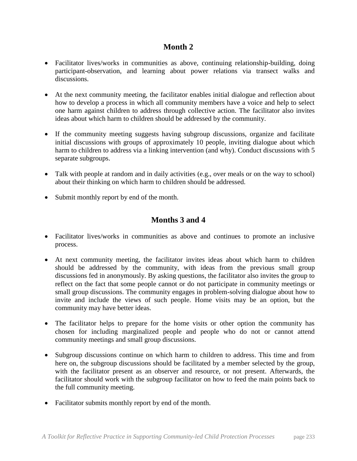## **Month 2**

- Facilitator lives/works in communities as above, continuing relationship-building, doing participant-observation, and learning about power relations via transect walks and discussions.
- At the next community meeting, the facilitator enables initial dialogue and reflection about how to develop a process in which all community members have a voice and help to select one harm against children to address through collective action. The facilitator also invites ideas about which harm to children should be addressed by the community.
- If the community meeting suggests having subgroup discussions, organize and facilitate initial discussions with groups of approximately 10 people, inviting dialogue about which harm to children to address via a linking intervention (and why). Conduct discussions with 5 separate subgroups.
- Talk with people at random and in daily activities (e.g., over meals or on the way to school) about their thinking on which harm to children should be addressed.
- Submit monthly report by end of the month.

# **Months 3 and 4**

- Facilitator lives/works in communities as above and continues to promote an inclusive process.
- At next community meeting, the facilitator invites ideas about which harm to children should be addressed by the community, with ideas from the previous small group discussions fed in anonymously. By asking questions, the facilitator also invites the group to reflect on the fact that some people cannot or do not participate in community meetings or small group discussions. The community engages in problem-solving dialogue about how to invite and include the views of such people. Home visits may be an option, but the community may have better ideas.
- The facilitator helps to prepare for the home visits or other option the community has chosen for including marginalized people and people who do not or cannot attend community meetings and small group discussions.
- Subgroup discussions continue on which harm to children to address. This time and from here on, the subgroup discussions should be facilitated by a member selected by the group, with the facilitator present as an observer and resource, or not present. Afterwards, the facilitator should work with the subgroup facilitator on how to feed the main points back to the full community meeting.
- Facilitator submits monthly report by end of the month.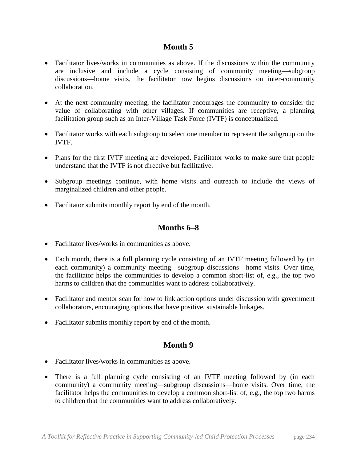## **Month 5**

- Facilitator lives/works in communities as above. If the discussions within the community are inclusive and include a cycle consisting of community meeting—subgroup discussions—home visits, the facilitator now begins discussions on inter-community collaboration.
- At the next community meeting, the facilitator encourages the community to consider the value of collaborating with other villages. If communities are receptive, a planning facilitation group such as an Inter-Village Task Force (IVTF) is conceptualized.
- Facilitator works with each subgroup to select one member to represent the subgroup on the IVTF.
- Plans for the first IVTF meeting are developed. Facilitator works to make sure that people understand that the IVTF is not directive but facilitative.
- Subgroup meetings continue, with home visits and outreach to include the views of marginalized children and other people.
- Facilitator submits monthly report by end of the month.

## **Months 6–8**

- Facilitator lives/works in communities as above.
- Each month, there is a full planning cycle consisting of an IVTF meeting followed by (in each community) a community meeting—subgroup discussions—home visits. Over time, the facilitator helps the communities to develop a common short-list of, e.g., the top two harms to children that the communities want to address collaboratively.
- Facilitator and mentor scan for how to link action options under discussion with government collaborators, encouraging options that have positive, sustainable linkages.
- Facilitator submits monthly report by end of the month.

## **Month 9**

- Facilitator lives/works in communities as above.
- There is a full planning cycle consisting of an IVTF meeting followed by (in each community) a community meeting—subgroup discussions—home visits. Over time, the facilitator helps the communities to develop a common short-list of, e.g., the top two harms to children that the communities want to address collaboratively.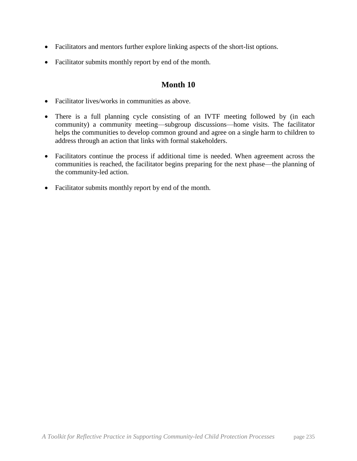- Facilitators and mentors further explore linking aspects of the short-list options.
- Facilitator submits monthly report by end of the month.

## **Month 10**

- Facilitator lives/works in communities as above.
- There is a full planning cycle consisting of an IVTF meeting followed by (in each community) a community meeting—subgroup discussions—home visits. The facilitator helps the communities to develop common ground and agree on a single harm to children to address through an action that links with formal stakeholders.
- Facilitators continue the process if additional time is needed. When agreement across the communities is reached, the facilitator begins preparing for the next phase—the planning of the community-led action.
- Facilitator submits monthly report by end of the month.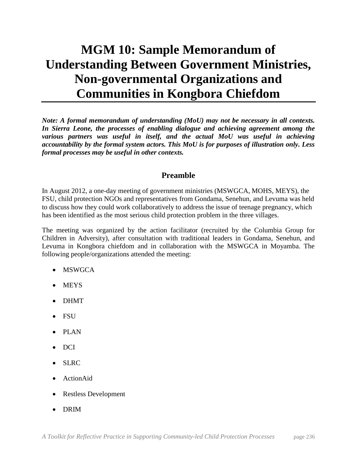# **MGM 10: Sample Memorandum of Understanding Between Government Ministries, Non-governmental Organizations and Communities in Kongbora Chiefdom**

*Note: A formal memorandum of understanding (MoU) may not be necessary in all contexts. In Sierra Leone, the processes of enabling dialogue and achieving agreement among the*  various partners was useful in itself, and the actual MoU was useful in achieving *accountability by the formal system actors. This MoU is for purposes of illustration only. Less formal processes may be useful in other contexts.*

## **Preamble**

In August 2012, a one-day meeting of government ministries (MSWGCA, MOHS, MEYS), the FSU, child protection NGOs and representatives from Gondama, Senehun, and Levuma was held to discuss how they could work collaboratively to address the issue of teenage pregnancy, which has been identified as the most serious child protection problem in the three villages.

The meeting was organized by the action facilitator (recruited by the Columbia Group for Children in Adversity), after consultation with traditional leaders in Gondama, Senehun, and Levuma in Kongbora chiefdom and in collaboration with the MSWGCA in Moyamba. The following people/organizations attended the meeting:

- MSWGCA
- **MEYS**
- DHMT
- FSU
- PLAN
- DCI
- SLRC
- ActionAid
- Restless Development
- DRIM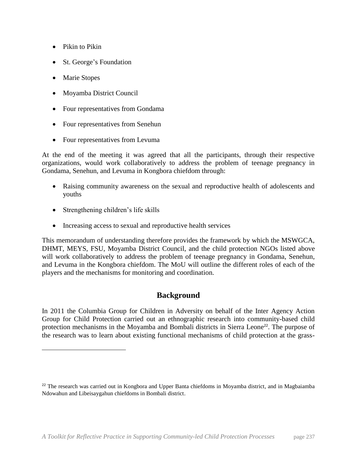- Pikin to Pikin
- St. George's Foundation
- Marie Stopes

 $\overline{a}$ 

- Moyamba District Council
- Four representatives from Gondama
- Four representatives from Senehun
- Four representatives from Levuma

At the end of the meeting it was agreed that all the participants, through their respective organizations, would work collaboratively to address the problem of teenage pregnancy in Gondama, Senehun, and Levuma in Kongbora chiefdom through:

- Raising community awareness on the sexual and reproductive health of adolescents and youths
- Strengthening children's life skills
- Increasing access to sexual and reproductive health services

This memorandum of understanding therefore provides the framework by which the MSWGCA, DHMT, MEYS, FSU, Moyamba District Council, and the child protection NGOs listed above will work collaboratively to address the problem of teenage pregnancy in Gondama, Senehun, and Levuma in the Kongbora chiefdom. The MoU will outline the different roles of each of the players and the mechanisms for monitoring and coordination.

## **Background**

In 2011 the Columbia Group for Children in Adversity on behalf of the Inter Agency Action Group for Child Protection carried out an ethnographic research into community-based child protection mechanisms in the Moyamba and Bombali districts in Sierra Leone<sup>22</sup>. The purpose of the research was to learn about existing functional mechanisms of child protection at the grass-

<sup>&</sup>lt;sup>22</sup> The research was carried out in Kongbora and Upper Banta chiefdoms in Moyamba district, and in Magbaiamba Ndowahun and Libeisaygahun chiefdoms in Bombali district.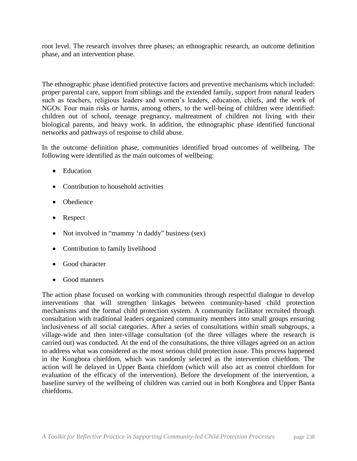root level. The research involves three phases; an ethnographic research, an outcome definition phase, and an intervention phase.

The ethnographic phase identified protective factors and preventive mechanisms which included: proper parental care, support from siblings and the extended family, support from natural leaders such as teachers, religious leaders and women's leaders, education, chiefs, and the work of NGOs. Four main risks or harms, among others, to the well-being of children were identified: children out of school, teenage pregnancy, maltreatment of children not living with their biological parents, and heavy work. In addition, the ethnographic phase identified functional networks and pathways of response to child abuse.

In the outcome definition phase, communities identified broad outcomes of wellbeing. The following were identified as the main outcomes of wellbeing:

- Education
- Contribution to household activities
- Obedience
- Respect
- Not involved in "mammy 'n daddy" business (sex)
- Contribution to family livelihood
- Good character
- Good manners

The action phase focused on working with communities through respectful dialogue to develop interventions that will strengthen linkages between community-based child protection mechanisms and the formal child protection system. A community facilitator recruited through consultation with traditional leaders organized community members into small groups ensuring inclusiveness of all social categories. After a series of consultations within small subgroups, a village-wide and then inter-village consultation (of the three villages where the research is carried out) was conducted. At the end of the consultations, the three villages agreed on an action to address what was considered as the most serious child protection issue. This process happened in the Kongbora chiefdom, which was randomly selected as the intervention chiefdom. The action will be delayed in Upper Banta chiefdom (which will also act as control chiefdom for evaluation of the efficacy of the intervention). Before the development of the intervention, a baseline survey of the wellbeing of children was carried out in both Kongbora and Upper Banta chiefdoms.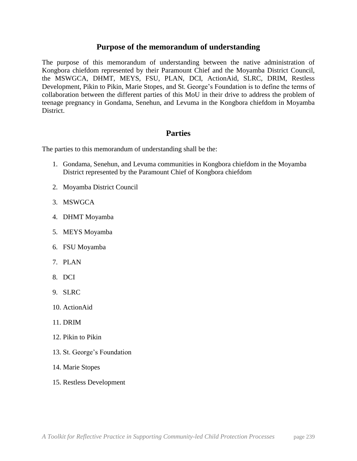### **Purpose of the memorandum of understanding**

The purpose of this memorandum of understanding between the native administration of Kongbora chiefdom represented by their Paramount Chief and the Moyamba District Council, the MSWGCA, DHMT, MEYS, FSU, PLAN, DCI, ActionAid, SLRC, DRIM, Restless Development, Pikin to Pikin, Marie Stopes, and St. George's Foundation is to define the terms of collaboration between the different parties of this MoU in their drive to address the problem of teenage pregnancy in Gondama, Senehun, and Levuma in the Kongbora chiefdom in Moyamba District.

## **Parties**

The parties to this memorandum of understanding shall be the:

- 1. Gondama, Senehun, and Levuma communities in Kongbora chiefdom in the Moyamba District represented by the Paramount Chief of Kongbora chiefdom
- 2. Moyamba District Council
- 3. MSWGCA
- 4. DHMT Moyamba
- 5. MEYS Moyamba
- 6. FSU Moyamba
- 7. PLAN
- 8. DCI
- 9. SLRC
- 10. ActionAid
- 11. DRIM
- 12. Pikin to Pikin
- 13. St. George's Foundation
- 14. Marie Stopes
- 15. Restless Development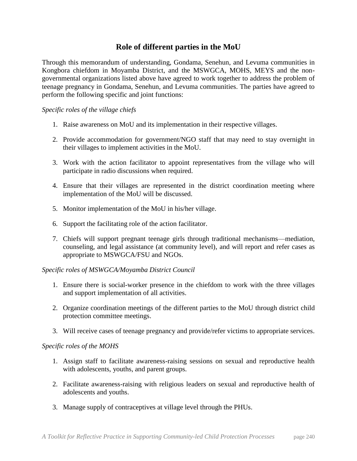## **Role of different parties in the MoU**

Through this memorandum of understanding, Gondama, Senehun, and Levuma communities in Kongbora chiefdom in Moyamba District, and the MSWGCA, MOHS, MEYS and the nongovernmental organizations listed above have agreed to work together to address the problem of teenage pregnancy in Gondama, Senehun, and Levuma communities. The parties have agreed to perform the following specific and joint functions:

### *Specific roles of the village chiefs*

- 1. Raise awareness on MoU and its implementation in their respective villages.
- 2. Provide accommodation for government/NGO staff that may need to stay overnight in their villages to implement activities in the MoU.
- 3. Work with the action facilitator to appoint representatives from the village who will participate in radio discussions when required.
- 4. Ensure that their villages are represented in the district coordination meeting where implementation of the MoU will be discussed.
- 5. Monitor implementation of the MoU in his/her village.
- 6. Support the facilitating role of the action facilitator.
- 7. Chiefs will support pregnant teenage girls through traditional mechanisms—mediation, counseling, and legal assistance (at community level), and will report and refer cases as appropriate to MSWGCA/FSU and NGOs.

#### *Specific roles of MSWGCA/Moyamba District Council*

- 1. Ensure there is social-worker presence in the chiefdom to work with the three villages and support implementation of all activities.
- 2. Organize coordination meetings of the different parties to the MoU through district child protection committee meetings.
- 3. Will receive cases of teenage pregnancy and provide/refer victims to appropriate services.

#### *Specific roles of the MOHS*

- 1. Assign staff to facilitate awareness-raising sessions on sexual and reproductive health with adolescents, youths, and parent groups.
- 2. Facilitate awareness-raising with religious leaders on sexual and reproductive health of adolescents and youths.
- 3. Manage supply of contraceptives at village level through the PHUs.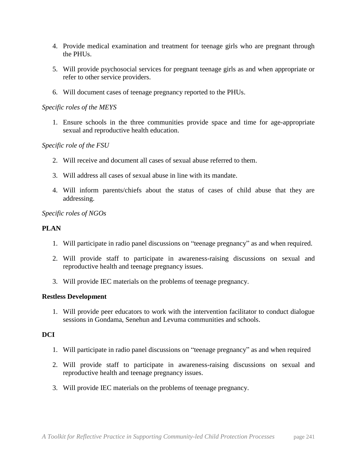- 4. Provide medical examination and treatment for teenage girls who are pregnant through the PHUs.
- 5. Will provide psychosocial services for pregnant teenage girls as and when appropriate or refer to other service providers.
- 6. Will document cases of teenage pregnancy reported to the PHUs.

#### *Specific roles of the MEYS*

1. Ensure schools in the three communities provide space and time for age-appropriate sexual and reproductive health education.

### *Specific role of the FSU*

- 2. Will receive and document all cases of sexual abuse referred to them.
- 3. Will address all cases of sexual abuse in line with its mandate.
- 4. Will inform parents/chiefs about the status of cases of child abuse that they are addressing.

### *Specific roles of NGOs*

### **PLAN**

- 1. Will participate in radio panel discussions on "teenage pregnancy" as and when required.
- 2. Will provide staff to participate in awareness-raising discussions on sexual and reproductive health and teenage pregnancy issues.
- 3. Will provide IEC materials on the problems of teenage pregnancy.

#### **Restless Development**

1. Will provide peer educators to work with the intervention facilitator to conduct dialogue sessions in Gondama, Senehun and Levuma communities and schools.

### **DCI**

- 1. Will participate in radio panel discussions on "teenage pregnancy" as and when required
- 2. Will provide staff to participate in awareness-raising discussions on sexual and reproductive health and teenage pregnancy issues.
- 3. Will provide IEC materials on the problems of teenage pregnancy.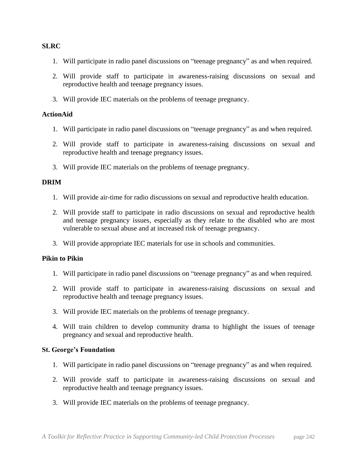#### **SLRC**

- 1. Will participate in radio panel discussions on "teenage pregnancy" as and when required.
- 2. Will provide staff to participate in awareness-raising discussions on sexual and reproductive health and teenage pregnancy issues.
- 3. Will provide IEC materials on the problems of teenage pregnancy.

#### **ActionAid**

- 1. Will participate in radio panel discussions on "teenage pregnancy" as and when required.
- 2. Will provide staff to participate in awareness-raising discussions on sexual and reproductive health and teenage pregnancy issues.
- 3. Will provide IEC materials on the problems of teenage pregnancy.

#### **DRIM**

- 1. Will provide air-time for radio discussions on sexual and reproductive health education.
- 2. Will provide staff to participate in radio discussions on sexual and reproductive health and teenage pregnancy issues, especially as they relate to the disabled who are most vulnerable to sexual abuse and at increased risk of teenage pregnancy.
- 3. Will provide appropriate IEC materials for use in schools and communities.

#### **Pikin to Pikin**

- 1. Will participate in radio panel discussions on "teenage pregnancy" as and when required.
- 2. Will provide staff to participate in awareness-raising discussions on sexual and reproductive health and teenage pregnancy issues.
- 3. Will provide IEC materials on the problems of teenage pregnancy.
- 4. Will train children to develop community drama to highlight the issues of teenage pregnancy and sexual and reproductive health.

#### **St. George's Foundation**

- 1. Will participate in radio panel discussions on "teenage pregnancy" as and when required.
- 2. Will provide staff to participate in awareness-raising discussions on sexual and reproductive health and teenage pregnancy issues.
- 3. Will provide IEC materials on the problems of teenage pregnancy.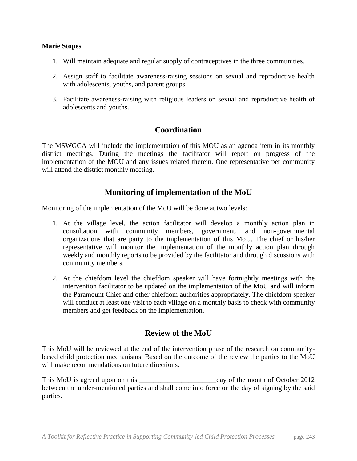#### **Marie Stopes**

- 1. Will maintain adequate and regular supply of contraceptives in the three communities.
- 2. Assign staff to facilitate awareness-raising sessions on sexual and reproductive health with adolescents, youths, and parent groups.
- 3. Facilitate awareness-raising with religious leaders on sexual and reproductive health of adolescents and youths.

### **Coordination**

The MSWGCA will include the implementation of this MOU as an agenda item in its monthly district meetings. During the meetings the facilitator will report on progress of the implementation of the MOU and any issues related therein. One representative per community will attend the district monthly meeting.

## **Monitoring of implementation of the MoU**

Monitoring of the implementation of the MoU will be done at two levels:

- 1. At the village level, the action facilitator will develop a monthly action plan in consultation with community members, government, and non-governmental organizations that are party to the implementation of this MoU. The chief or his/her representative will monitor the implementation of the monthly action plan through weekly and monthly reports to be provided by the facilitator and through discussions with community members.
- 2. At the chiefdom level the chiefdom speaker will have fortnightly meetings with the intervention facilitator to be updated on the implementation of the MoU and will inform the Paramount Chief and other chiefdom authorities appropriately. The chiefdom speaker will conduct at least one visit to each village on a monthly basis to check with community members and get feedback on the implementation.

## **Review of the MoU**

This MoU will be reviewed at the end of the intervention phase of the research on communitybased child protection mechanisms. Based on the outcome of the review the parties to the MoU will make recommendations on future directions.

This MoU is agreed upon on this \_\_\_\_\_\_\_\_\_\_\_\_\_\_\_\_\_\_\_\_\_\_day of the month of October 2012 between the under-mentioned parties and shall come into force on the day of signing by the said parties.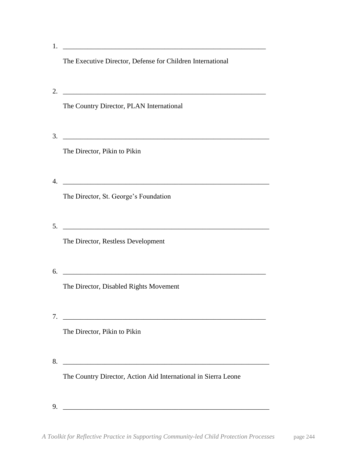| 1.                                                                                                                                                             |  |
|----------------------------------------------------------------------------------------------------------------------------------------------------------------|--|
| The Executive Director, Defense for Children International                                                                                                     |  |
| <u> 1988 - Johann Barn, mars ann an t-Amhain Aonaich an t-Aonaich an t-Aonaich ann an t-Aonaich ann an t-Aonaich</u>                                           |  |
| The Country Director, PLAN International                                                                                                                       |  |
|                                                                                                                                                                |  |
| The Director, Pikin to Pikin                                                                                                                                   |  |
| <u> 1989 - Jan Barnett, fransk politiker (d. 1989)</u>                                                                                                         |  |
| The Director, St. George's Foundation                                                                                                                          |  |
|                                                                                                                                                                |  |
| The Director, Restless Development                                                                                                                             |  |
| <u> 2000 - 2000 - 2000 - 2000 - 2000 - 2000 - 2000 - 2000 - 2000 - 2000 - 2000 - 2000 - 2000 - 2000 - 2000 - 200</u><br>The Director, Disabled Rights Movement |  |
|                                                                                                                                                                |  |
| <u> 1980 - Jan Barbara, martxa al II-lea (h. 1980).</u><br>The Director, Pikin to Pikin                                                                        |  |
|                                                                                                                                                                |  |
| The Country Director, Action Aid International in Sierra Leone                                                                                                 |  |
|                                                                                                                                                                |  |
|                                                                                                                                                                |  |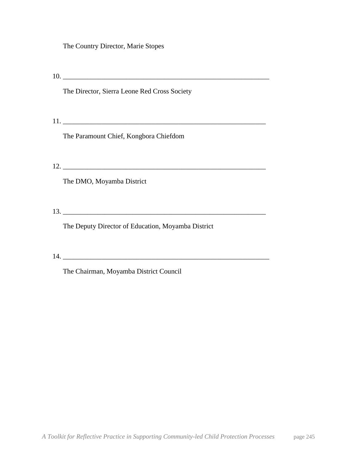The Country Director, Marie Stopes

10. \_\_\_\_\_\_\_\_\_\_\_\_\_\_\_\_\_\_\_\_\_\_\_\_\_\_\_\_\_\_\_\_\_\_\_\_\_\_\_\_\_\_\_\_\_\_\_\_\_\_\_\_\_\_\_\_\_\_\_ The Director, Sierra Leone Red Cross Society 11. \_\_\_\_\_\_\_\_\_\_\_\_\_\_\_\_\_\_\_\_\_\_\_\_\_\_\_\_\_\_\_\_\_\_\_\_\_\_\_\_\_\_\_\_\_\_\_\_\_\_\_\_\_\_\_\_\_\_ The Paramount Chief, Kongbora Chiefdom 12. \_\_\_\_\_\_\_\_\_\_\_\_\_\_\_\_\_\_\_\_\_\_\_\_\_\_\_\_\_\_\_\_\_\_\_\_\_\_\_\_\_\_\_\_\_\_\_\_\_\_\_\_\_\_\_\_\_\_ The DMO, Moyamba District  $13.$ The Deputy Director of Education, Moyamba District 14. \_\_\_\_\_\_\_\_\_\_\_\_\_\_\_\_\_\_\_\_\_\_\_\_\_\_\_\_\_\_\_\_\_\_\_\_\_\_\_\_\_\_\_\_\_\_\_\_\_\_\_\_\_\_\_\_\_\_\_ The Chairman, Moyamba District Council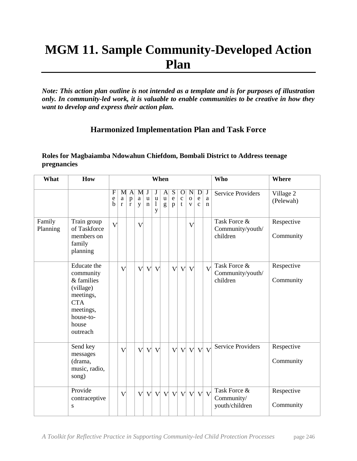# **MGM 11. Sample Community-Developed Action Plan**

*Note: This action plan outline is not intended as a template and is for purposes of illustration only. In community-led work, it is valuable to enable communities to be creative in how they want to develop and express their action plan.*

## **Harmonized Implementation Plan and Task Force**

### **Roles for Magbaiamba Ndowahun Chiefdom, Bombali District to Address teenage pregnancies**

| What               | How                                                                                                                           | When                                                  |                               |                                   |                    |                            |                                  |                       |                       |                                 |                                            | <b>Who</b>             | <b>Where</b>          |                                              |                         |
|--------------------|-------------------------------------------------------------------------------------------------------------------------------|-------------------------------------------------------|-------------------------------|-----------------------------------|--------------------|----------------------------|----------------------------------|-----------------------|-----------------------|---------------------------------|--------------------------------------------|------------------------|-----------------------|----------------------------------------------|-------------------------|
|                    |                                                                                                                               | $\overline{\mathrm{F}}$<br>$\mathbf e$<br>$\mathbf b$ | M<br>$\rm{a}$<br>$\mathbf{r}$ | A<br>$\mathbf{p}$<br>$\mathbf{r}$ | M<br>$\rm{a}$<br>y | $\mathbf u$<br>$\mathbf n$ | $\mathbf u$<br>$\mathbf{1}$<br>y | A<br>$\mathbf u$<br>g | S<br>$\mathbf e$<br>p | $\mathbf O$<br>$\mathbf c$<br>t | $\mathbf N$<br>$\mathbf 0$<br>$\mathbf{V}$ | D<br>e<br>$\mathbf{C}$ | J<br>a<br>$\mathbf n$ | <b>Service Providers</b>                     | Village 2<br>(Pelewah)  |
| Family<br>Planning | Train group<br>of Taskforce<br>members on<br>family<br>planning                                                               | $\vee$                                                |                               |                                   | $\mathbf{V}$       |                            |                                  |                       |                       |                                 | $\rm{V}$                                   |                        |                       | Task Force &<br>Community/youth/<br>children | Respective<br>Community |
|                    | Educate the<br>community<br>& families<br>(village)<br>meetings,<br><b>CTA</b><br>meetings,<br>house-to-<br>house<br>outreach |                                                       | $\vee$                        |                                   | $\mathbf{V}$       | $\mathbf{V}$               | $\mathbf{V}$                     |                       | $\mathbf{V}$          | $\mathbf{V}$                    | $\mathbf{V}$                               |                        | $\overline{V}$        | Task Force &<br>Community/youth/<br>children | Respective<br>Community |
|                    | Send key<br>messages<br>(drama,<br>music, radio,<br>song)                                                                     |                                                       | $\sqrt{}$                     |                                   | $\mathbf{V}$       | $\mathbf{V}$               | $\mathbf{V}$                     |                       | $\mathbf{V}$          | $\mathbf{V}$                    |                                            | $V$ $V$                | $\overline{V}$        | <b>Service Providers</b>                     | Respective<br>Community |
|                    | Provide<br>contraceptive<br>S                                                                                                 |                                                       | $\mathbf{V}$                  |                                   | $\mathbf{V}$       | $\mathbf{V}$               |                                  | V V V V               |                       |                                 | $\mathbf{V}$                               | $\mathbf{V}$           | $\mathbf{V}$          | Task Force &<br>Community/<br>youth/children | Respective<br>Community |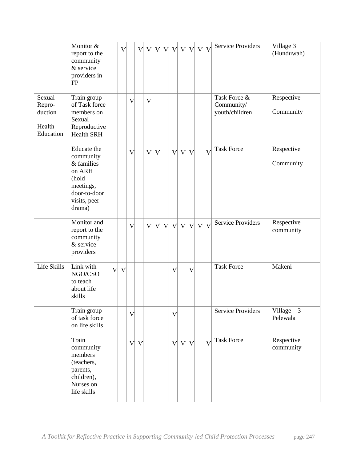|                                                    | Monitor &<br>report to the<br>community<br>& service<br>providers in<br>FP                                       |              | $\rm V$ |              | $\mathbf{V}$ | $\mathbf{V}$            |              | V V V V   |              |              |              | $V$ $V$ | $\mathbf{V}$   | <b>Service Providers</b>                     | Village 3<br>(Hunduwah) |
|----------------------------------------------------|------------------------------------------------------------------------------------------------------------------|--------------|---------|--------------|--------------|-------------------------|--------------|-----------|--------------|--------------|--------------|---------|----------------|----------------------------------------------|-------------------------|
| Sexual<br>Repro-<br>duction<br>Health<br>Education | Train group<br>of Task force<br>members on<br>Sexual<br>Reproductive<br><b>Health SRH</b>                        |              |         | $\sqrt{}$    |              | $\overline{\mathsf{V}}$ |              |           |              |              |              |         |                | Task Force &<br>Community/<br>youth/children | Respective<br>Community |
|                                                    | Educate the<br>community<br>& families<br>on ARH<br>(hold<br>meetings,<br>door-to-door<br>visits, peer<br>drama) |              |         | $\vee$       |              | $\mathbf{V}$            | $\mathbf{V}$ |           |              | V V          | $\mathbf{V}$ |         | $\mathbf{V}$   | <b>Task Force</b>                            | Respective<br>Community |
|                                                    | Monitor and<br>report to the<br>community<br>& service<br>providers                                              |              |         | $\vee$       |              | $\mathbf{V}$            |              | V V V V V |              |              |              |         | $V$ $V$        | <b>Service Providers</b>                     | Respective<br>community |
| Life Skills                                        | Link with<br>NGO/CSO<br>to teach<br>about life<br>skills                                                         | $\mathbf{V}$ | $\vee$  |              |              |                         |              |           | $\sqrt{}$    |              | $\vee$       |         |                | <b>Task Force</b>                            | Makeni                  |
|                                                    | Train group<br>of task force<br>on life skills                                                                   |              |         | $\sqrt{}$    |              |                         |              |           | $\sqrt{}$    |              |              |         |                | <b>Service Providers</b>                     | Village-3<br>Pelewala   |
|                                                    | Train<br>community<br>members<br>(teachers,<br>parents,<br>children),<br>Nurses on<br>life skills                |              |         | $\mathbf{V}$ | $\mathbf{V}$ |                         |              |           | $\mathbf{V}$ | $\mathbf{V}$ | $\mathbf{V}$ |         | $\overline{V}$ | Task Force                                   | Respective<br>community |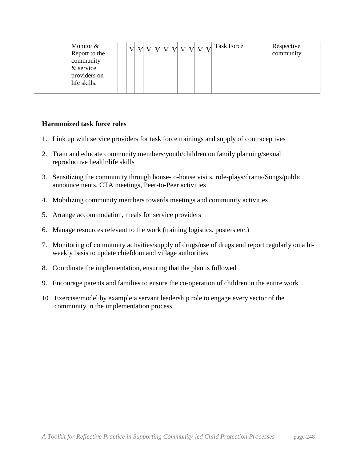| Monitor &<br>Report to the   |  | V V V V V V V V V V V |  |  |  | <b>Task Force</b> | Respective<br>community |
|------------------------------|--|-----------------------|--|--|--|-------------------|-------------------------|
| community<br>& service       |  |                       |  |  |  |                   |                         |
| providers on<br>life skills. |  |                       |  |  |  |                   |                         |

#### **Harmonized task force roles**

- 1. Link up with service providers for task force trainings and supply of contraceptives
- 2. Train and educate community members/youth/children on family planning/sexual reproductive health/life skills
- 3. Sensitizing the community through house-to-house visits, role-plays/drama/Songs/public announcements, CTA meetings, Peer-to-Peer activities
- 4. Mobilizing community members towards meetings and community activities
- 5. Arrange accommodation, meals for service providers
- 6. Manage resources relevant to the work (training logistics, posters etc.)
- 7. Monitoring of community activities/supply of drugs/use of drugs and report regularly on a biweekly basis to update chiefdom and village authorities
- 8. Coordinate the implementation, ensuring that the plan is followed
- 9. Encourage parents and families to ensure the co-operation of children in the entire work
- 10. Exercise/model by example a servant leadership role to engage every sector of the community in the implementation process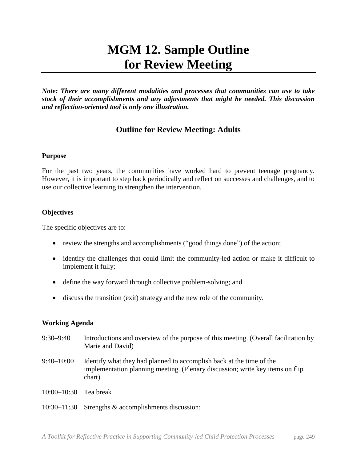# **MGM 12. Sample Outline for Review Meeting**

*Note: There are many different modalities and processes that communities can use to take stock of their accomplishments and any adjustments that might be needed. This discussion and reflection-oriented tool is only one illustration.*

## **Outline for Review Meeting: Adults**

### **Purpose**

For the past two years, the communities have worked hard to prevent teenage pregnancy. However, it is important to step back periodically and reflect on successes and challenges, and to use our collective learning to strengthen the intervention.

### **Objectives**

The specific objectives are to:

- review the strengths and accomplishments ("good things done") of the action;
- identify the challenges that could limit the community-led action or make it difficult to implement it fully;
- define the way forward through collective problem-solving; and
- discuss the transition (exit) strategy and the new role of the community.

#### **Working Agenda**

- 9:30–9:40 Introductions and overview of the purpose of this meeting. (Overall facilitation by Marie and David) 9:40–10:00 Identify what they had planned to accomplish back at the time of the implementation planning meeting. (Plenary discussion; write key items on flip chart) 10:00–10:30 Tea break
- 10:30–11:30 Strengths & accomplishments discussion: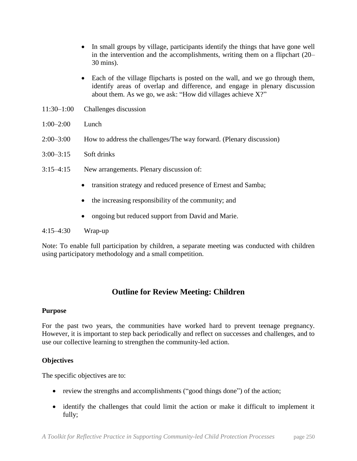- In small groups by village, participants identify the things that have gone well in the intervention and the accomplishments, writing them on a flipchart (20– 30 mins).
- Each of the village flipcharts is posted on the wall, and we go through them, identify areas of overlap and difference, and engage in plenary discussion about them. As we go, we ask: "How did villages achieve X?"
- 11:30–1:00 Challenges discussion
- 1:00–2:00 Lunch
- 2:00–3:00 How to address the challenges/The way forward. (Plenary discussion)
- 3:00–3:15 Soft drinks
- 3:15–4:15 New arrangements. Plenary discussion of:
	- transition strategy and reduced presence of Ernest and Samba;
	- the increasing responsibility of the community; and
	- ongoing but reduced support from David and Marie.

#### 4:15–4:30 Wrap-up

Note: To enable full participation by children, a separate meeting was conducted with children using participatory methodology and a small competition.

## **Outline for Review Meeting: Children**

#### **Purpose**

For the past two years, the communities have worked hard to prevent teenage pregnancy. However, it is important to step back periodically and reflect on successes and challenges, and to use our collective learning to strengthen the community-led action.

#### **Objectives**

The specific objectives are to:

- review the strengths and accomplishments ("good things done") of the action;
- identify the challenges that could limit the action or make it difficult to implement it fully;